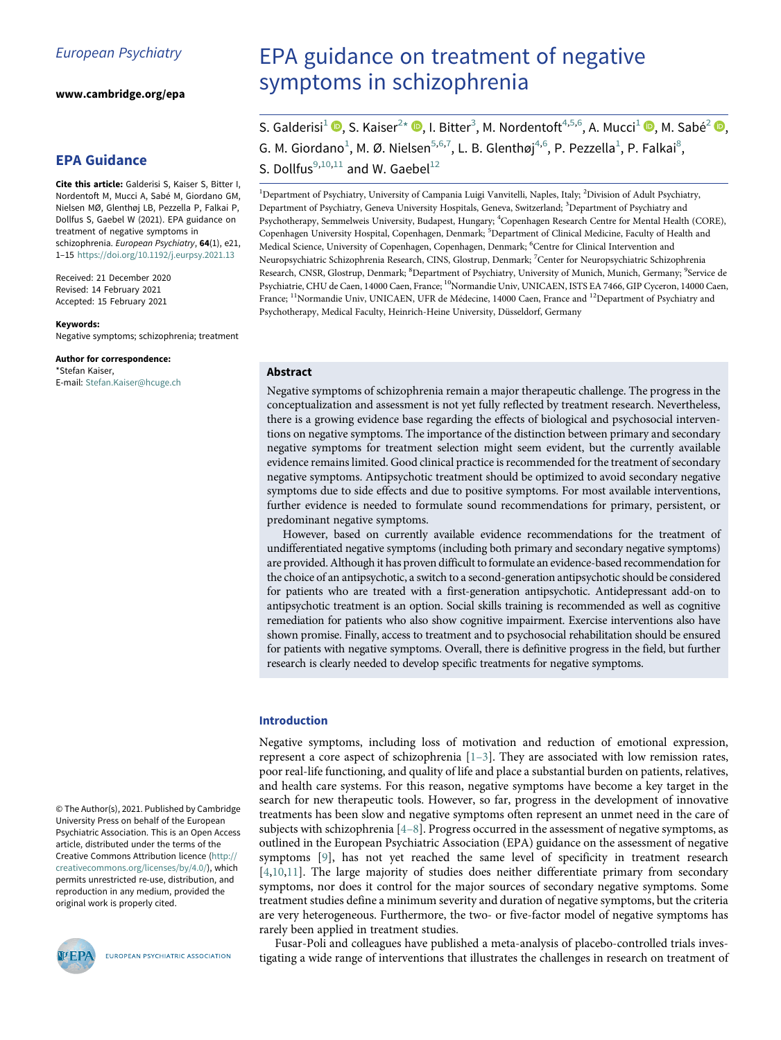www.cambridge.org/epa

# EPA Guidance

<span id="page-0-4"></span><span id="page-0-3"></span><span id="page-0-2"></span><span id="page-0-0"></span>Cite this article: Galderisi S, Kaiser S, Bitter I, Nordentoft M, Mucci A, Sabé M, Giordano GM, Nielsen MØ, Glenthøj LB, Pezzella P, Falkai P, Dollfus S, Gaebel W (2021). EPA guidance on treatment of negative symptoms in schizophrenia. European Psychiatry, 64(1), e21, 1–15 <https://doi.org/10.1192/j.eurpsy.2021.13>

<span id="page-0-9"></span><span id="page-0-8"></span><span id="page-0-7"></span><span id="page-0-6"></span><span id="page-0-5"></span>Received: 21 December 2020 Revised: 14 February 2021 Accepted: 15 February 2021

#### <span id="page-0-1"></span>Keywords:

Negative symptoms; schizophrenia; treatment

# Author for correspondence:

\*Stefan Kaiser, E-mail: [Stefan.Kaiser@hcuge.ch](mailto:Stefan.Kaiser@hcuge.ch)

© The Author(s), 2021. Published by Cambridge University Press on behalf of the European Psychiatric Association. This is an Open Access article, distributed under the terms of the Creative Commons Attribution licence [\(http://](http://creativecommons.org/licenses/by/4.0/) [creativecommons.org/licenses/by/4.0/\)](http://creativecommons.org/licenses/by/4.0/), which permits unrestricted re-use, distribution, and reproduction in any medium, provided the original work is properly cited.



EUROPEAN PSYCHIATRIC ASSOCIATION

# EPA guidance on treatment of negative symptoms in schizophrenia

S. Galderisi<sup>[1](#page-0-0)</sup> (D[,](https://orcid.org/0000-0002-1592-7656) S. Kaiser<sup>[2](#page-0-0)[\\*](#page-0-1)</sup> (D, I. Bitter<sup>[3](#page-0-2)</sup>, M. Nordentoft<sup>[4,](#page-0-3)[5](#page-0-4)[,6](#page-0-5)</sup>, A. Mucci<sup>1</sup> (D, M. Sabé<sup>2</sup> (D, G. M. Giordano<sup>[1](#page-0-0)</sup>, M. Ø. Nielsen<sup>[5,](#page-0-4)[6](#page-0-5)[,7](#page-0-6)</sup>, L. B. Glenthøj<sup>[4,](#page-0-3)6</sup>, P. Pezzella<sup>1</sup>, P. Falkai<sup>[8](#page-0-7)</sup>, S. Dollfus<sup>[9,](#page-0-7)[10](#page-0-8)[,11](#page-0-9)</sup> and W. Gaebel<sup>[12](#page-0-9)</sup>

<sup>1</sup>Department of Psychiatry, University of Campania Luigi Vanvitelli, Naples, Italy; <sup>2</sup>Division of Adult Psychiatry, Department of Psychiatry, Geneva University Hospitals, Geneva, Switzerland; <sup>3</sup>Department of Psychiatry and Psychotherapy, Semmelweis University, Budapest, Hungary; <sup>4</sup>Copenhagen Research Centre for Mental Health (CORE), Copenhagen University Hospital, Copenhagen, Denmark; <sup>5</sup>Department of Clinical Medicine, Faculty of Health and Medical Science, University of Copenhagen, Copenhagen, Denmark; <sup>6</sup>Centre for Clinical Intervention and Neuropsychiatric Schizophrenia Research, CINS, Glostrup, Denmark; <sup>7</sup>Center for Neuropsychiatric Schizophrenia Research, CNSR, Glostrup, Denmark; <sup>8</sup>Department of Psychiatry, University of Munich, Munich, Germany; <sup>9</sup>Service de Psychiatrie, CHU de Caen, 14000 Caen, France; 10Normandie Univ, UNICAEN, ISTS EA 7466, GIP Cyceron, 14000 Caen, France; 11Normandie Univ, UNICAEN, UFR de Médecine, 14000 Caen, France and 12Department of Psychiatry and Psychotherapy, Medical Faculty, Heinrich-Heine University, Düsseldorf, Germany

# Abstract

Negative symptoms of schizophrenia remain a major therapeutic challenge. The progress in the conceptualization and assessment is not yet fully reflected by treatment research. Nevertheless, there is a growing evidence base regarding the effects of biological and psychosocial interventions on negative symptoms. The importance of the distinction between primary and secondary negative symptoms for treatment selection might seem evident, but the currently available evidence remains limited. Good clinical practice is recommended for the treatment of secondary negative symptoms. Antipsychotic treatment should be optimized to avoid secondary negative symptoms due to side effects and due to positive symptoms. For most available interventions, further evidence is needed to formulate sound recommendations for primary, persistent, or predominant negative symptoms.

However, based on currently available evidence recommendations for the treatment of undifferentiated negative symptoms (including both primary and secondary negative symptoms) are provided. Although it has proven difficult to formulate an evidence-based recommendation for the choice of an antipsychotic, a switch to a second-generation antipsychotic should be considered for patients who are treated with a first-generation antipsychotic. Antidepressant add-on to antipsychotic treatment is an option. Social skills training is recommended as well as cognitive remediation for patients who also show cognitive impairment. Exercise interventions also have shown promise. Finally, access to treatment and to psychosocial rehabilitation should be ensured for patients with negative symptoms. Overall, there is definitive progress in the field, but further research is clearly needed to develop specific treatments for negative symptoms.

#### Introduction

Negative symptoms, including loss of motivation and reduction of emotional expression, represent a core aspect of schizophrenia [1–3]. They are associated with low remission rates, poor real-life functioning, and quality of life and place a substantial burden on patients, relatives, and health care systems. For this reason, negative symptoms have become a key target in the search for new therapeutic tools. However, so far, progress in the development of innovative treatments has been slow and negative symptoms often represent an unmet need in the care of subjects with schizophrenia [4–8]. Progress occurred in the assessment of negative symptoms, as outlined in the European Psychiatric Association (EPA) guidance on the assessment of negative symptoms [[9](#page-12-0)], has not yet reached the same level of specificity in treatment research [[4,](#page-12-1)[10,](#page-12-2)[11\]](#page-12-3). The large majority of studies does neither differentiate primary from secondary symptoms, nor does it control for the major sources of secondary negative symptoms. Some treatment studies define a minimum severity and duration of negative symptoms, but the criteria are very heterogeneous. Furthermore, the two- or five-factor model of negative symptoms has rarely been applied in treatment studies.

Fusar-Poli and colleagues have published a meta-analysis of placebo-controlled trials investigating a wide range of interventions that illustrates the challenges in research on treatment of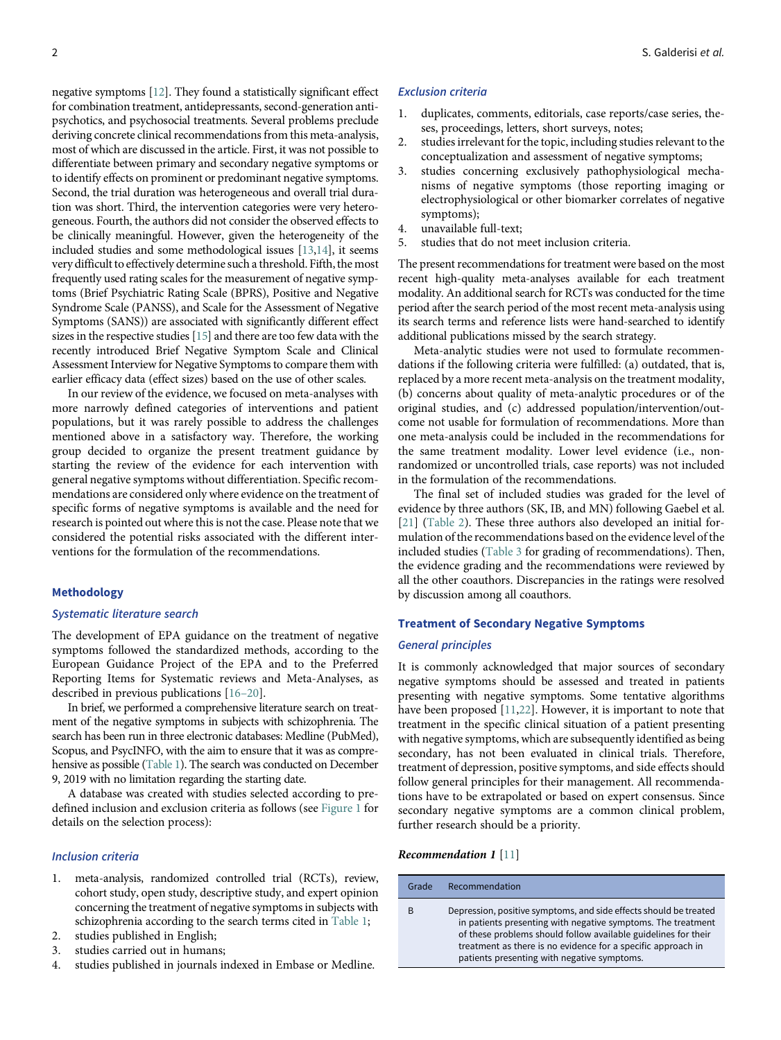negative symptoms [[12\]](#page-12-4). They found a statistically significant effect for combination treatment, antidepressants, second-generation antipsychotics, and psychosocial treatments. Several problems preclude deriving concrete clinical recommendations from this meta-analysis, most of which are discussed in the article. First, it was not possible to differentiate between primary and secondary negative symptoms or to identify effects on prominent or predominant negative symptoms. Second, the trial duration was heterogeneous and overall trial duration was short. Third, the intervention categories were very heterogeneous. Fourth, the authors did not consider the observed effects to be clinically meaningful. However, given the heterogeneity of the included studies and some methodological issues [\[13](#page-12-5)[,14](#page-12-6)], it seems very difficult to effectively determine such a threshold. Fifth, the most frequently used rating scales for the measurement of negative symptoms (Brief Psychiatric Rating Scale (BPRS), Positive and Negative Syndrome Scale (PANSS), and Scale for the Assessment of Negative Symptoms (SANS)) are associated with significantly different effect sizes in the respective studies [\[15](#page-12-7)] and there are too few data with the recently introduced Brief Negative Symptom Scale and Clinical Assessment Interview for Negative Symptoms to compare them with earlier efficacy data (effect sizes) based on the use of other scales.

In our review of the evidence, we focused on meta-analyses with more narrowly defined categories of interventions and patient populations, but it was rarely possible to address the challenges mentioned above in a satisfactory way. Therefore, the working group decided to organize the present treatment guidance by starting the review of the evidence for each intervention with general negative symptoms without differentiation. Specific recommendations are considered only where evidence on the treatment of specific forms of negative symptoms is available and the need for research is pointed out where this is not the case. Please note that we considered the potential risks associated with the different interventions for the formulation of the recommendations.

# Methodology

## Systematic literature search

The development of EPA guidance on the treatment of negative symptoms followed the standardized methods, according to the European Guidance Project of the EPA and to the Preferred Reporting Items for Systematic reviews and Meta-Analyses, as described in previous publications [16–20].

In brief, we performed a comprehensive literature search on treatment of the negative symptoms in subjects with schizophrenia. The search has been run in three electronic databases: Medline (PubMed), Scopus, and PsycINFO, with the aim to ensure that it was as comprehensive as possible [\(Table 1\)](#page-2-0). The search was conducted on December 9, 2019 with no limitation regarding the starting date.

A database was created with studies selected according to predefined inclusion and exclusion criteria as follows (see [Figure 1](#page-3-0) for details on the selection process):

# Inclusion criteria

- 1. meta-analysis, randomized controlled trial (RCTs), review, cohort study, open study, descriptive study, and expert opinion concerning the treatment of negative symptoms in subjects with schizophrenia according to the search terms cited in [Table 1](#page-2-0);
- 2. studies published in English;
- 3. studies carried out in humans;
- 4. studies published in journals indexed in Embase or Medline.

#### Exclusion criteria

- duplicates, comments, editorials, case reports/case series, theses, proceedings, letters, short surveys, notes;
- 2. studies irrelevant for the topic, including studies relevant to the conceptualization and assessment of negative symptoms;
- 3. studies concerning exclusively pathophysiological mechanisms of negative symptoms (those reporting imaging or electrophysiological or other biomarker correlates of negative symptoms);
- 4. unavailable full-text;
- 5. studies that do not meet inclusion criteria.

The present recommendations for treatment were based on the most recent high-quality meta-analyses available for each treatment modality. An additional search for RCTs was conducted for the time period after the search period of the most recent meta-analysis using its search terms and reference lists were hand-searched to identify additional publications missed by the search strategy.

Meta-analytic studies were not used to formulate recommendations if the following criteria were fulfilled: (a) outdated, that is, replaced by a more recent meta-analysis on the treatment modality, (b) concerns about quality of meta-analytic procedures or of the original studies, and (c) addressed population/intervention/outcome not usable for formulation of recommendations. More than one meta-analysis could be included in the recommendations for the same treatment modality. Lower level evidence (i.e., nonrandomized or uncontrolled trials, case reports) was not included in the formulation of the recommendations.

The final set of included studies was graded for the level of evidence by three authors (SK, IB, and MN) following Gaebel et al. [[21](#page-13-0)] ([Table 2](#page-4-0)). These three authors also developed an initial formulation of the recommendations based on the evidence level of the included studies [\(Table 3](#page-4-1) for grading of recommendations). Then, the evidence grading and the recommendations were reviewed by all the other coauthors. Discrepancies in the ratings were resolved by discussion among all coauthors.

## Treatment of Secondary Negative Symptoms

## General principles

It is commonly acknowledged that major sources of secondary negative symptoms should be assessed and treated in patients presenting with negative symptoms. Some tentative algorithms have been proposed [[11,](#page-12-3)[22](#page-13-1)]. However, it is important to note that treatment in the specific clinical situation of a patient presenting with negative symptoms, which are subsequently identified as being secondary, has not been evaluated in clinical trials. Therefore, treatment of depression, positive symptoms, and side effects should follow general principles for their management. All recommendations have to be extrapolated or based on expert consensus. Since secondary negative symptoms are a common clinical problem, further research should be a priority.

## Recommendation 1 [\[11](#page-12-3)]

| Grade | Recommendation                                                                                                                                                                                                                                                                                                     |
|-------|--------------------------------------------------------------------------------------------------------------------------------------------------------------------------------------------------------------------------------------------------------------------------------------------------------------------|
| B     | Depression, positive symptoms, and side effects should be treated<br>in patients presenting with negative symptoms. The treatment<br>of these problems should follow available guidelines for their<br>treatment as there is no evidence for a specific approach in<br>patients presenting with negative symptoms. |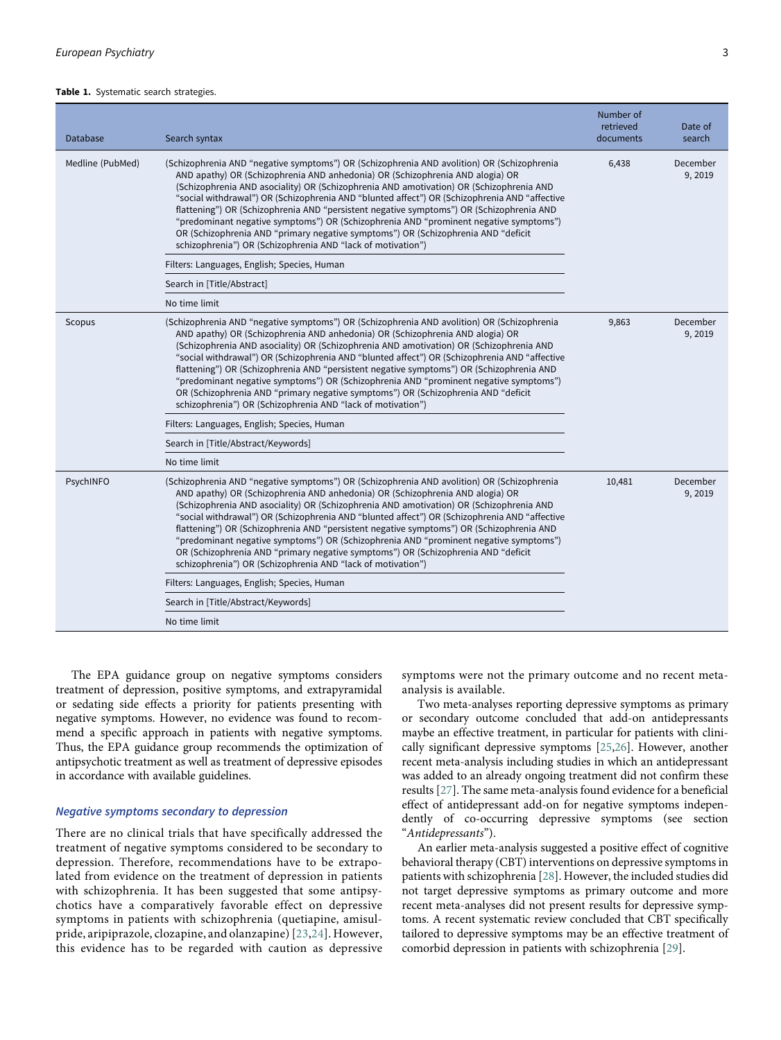#### <span id="page-2-0"></span>Table 1. Systematic search strategies.

| Database         | Search syntax                                                                                                                                                                                                                                                                                                                                                                                                                                                                                                                                                                                                                                                                                                    | Number of<br>retrieved<br>documents | Date of<br>search  |
|------------------|------------------------------------------------------------------------------------------------------------------------------------------------------------------------------------------------------------------------------------------------------------------------------------------------------------------------------------------------------------------------------------------------------------------------------------------------------------------------------------------------------------------------------------------------------------------------------------------------------------------------------------------------------------------------------------------------------------------|-------------------------------------|--------------------|
| Medline (PubMed) | (Schizophrenia AND "negative symptoms") OR (Schizophrenia AND avolition) OR (Schizophrenia<br>AND apathy) OR (Schizophrenia AND anhedonia) OR (Schizophrenia AND alogia) OR<br>(Schizophrenia AND asociality) OR (Schizophrenia AND amotivation) OR (Schizophrenia AND<br>"social withdrawal") OR (Schizophrenia AND "blunted affect") OR (Schizophrenia AND "affective<br>flattening") OR (Schizophrenia AND "persistent negative symptoms") OR (Schizophrenia AND<br>"predominant negative symptoms") OR (Schizophrenia AND "prominent negative symptoms")<br>OR (Schizophrenia AND "primary negative symptoms") OR (Schizophrenia AND "deficit<br>schizophrenia") OR (Schizophrenia AND "lack of motivation") | 6,438                               | December<br>9,2019 |
|                  | Filters: Languages, English; Species, Human                                                                                                                                                                                                                                                                                                                                                                                                                                                                                                                                                                                                                                                                      |                                     |                    |
|                  | Search in [Title/Abstract]                                                                                                                                                                                                                                                                                                                                                                                                                                                                                                                                                                                                                                                                                       |                                     |                    |
|                  | No time limit                                                                                                                                                                                                                                                                                                                                                                                                                                                                                                                                                                                                                                                                                                    |                                     |                    |
| Scopus           | (Schizophrenia AND "negative symptoms") OR (Schizophrenia AND avolition) OR (Schizophrenia<br>AND apathy) OR (Schizophrenia AND anhedonia) OR (Schizophrenia AND alogia) OR<br>(Schizophrenia AND asociality) OR (Schizophrenia AND amotivation) OR (Schizophrenia AND<br>"social withdrawal") OR (Schizophrenia AND "blunted affect") OR (Schizophrenia AND "affective<br>flattening") OR (Schizophrenia AND "persistent negative symptoms") OR (Schizophrenia AND<br>"predominant negative symptoms") OR (Schizophrenia AND "prominent negative symptoms")<br>OR (Schizophrenia AND "primary negative symptoms") OR (Schizophrenia AND "deficit<br>schizophrenia") OR (Schizophrenia AND "lack of motivation") | 9,863                               | December<br>9,2019 |
|                  | Filters: Languages, English; Species, Human                                                                                                                                                                                                                                                                                                                                                                                                                                                                                                                                                                                                                                                                      |                                     |                    |
|                  | Search in [Title/Abstract/Keywords]                                                                                                                                                                                                                                                                                                                                                                                                                                                                                                                                                                                                                                                                              |                                     |                    |
|                  | No time limit                                                                                                                                                                                                                                                                                                                                                                                                                                                                                                                                                                                                                                                                                                    |                                     |                    |
| PsychINFO        | (Schizophrenia AND "negative symptoms") OR (Schizophrenia AND avolition) OR (Schizophrenia<br>AND apathy) OR (Schizophrenia AND anhedonia) OR (Schizophrenia AND alogia) OR<br>(Schizophrenia AND asociality) OR (Schizophrenia AND amotivation) OR (Schizophrenia AND<br>"social withdrawal") OR (Schizophrenia AND "blunted affect") OR (Schizophrenia AND "affective<br>flattening") OR (Schizophrenia AND "persistent negative symptoms") OR (Schizophrenia AND<br>"predominant negative symptoms") OR (Schizophrenia AND "prominent negative symptoms")<br>OR (Schizophrenia AND "primary negative symptoms") OR (Schizophrenia AND "deficit<br>schizophrenia") OR (Schizophrenia AND "lack of motivation") | 10,481                              | December<br>9,2019 |
|                  | Filters: Languages, English; Species, Human                                                                                                                                                                                                                                                                                                                                                                                                                                                                                                                                                                                                                                                                      |                                     |                    |
|                  | Search in [Title/Abstract/Keywords]                                                                                                                                                                                                                                                                                                                                                                                                                                                                                                                                                                                                                                                                              |                                     |                    |
|                  | No time limit                                                                                                                                                                                                                                                                                                                                                                                                                                                                                                                                                                                                                                                                                                    |                                     |                    |

The EPA guidance group on negative symptoms considers treatment of depression, positive symptoms, and extrapyramidal or sedating side effects a priority for patients presenting with negative symptoms. However, no evidence was found to recommend a specific approach in patients with negative symptoms. Thus, the EPA guidance group recommends the optimization of antipsychotic treatment as well as treatment of depressive episodes in accordance with available guidelines.

# Negative symptoms secondary to depression

There are no clinical trials that have specifically addressed the treatment of negative symptoms considered to be secondary to depression. Therefore, recommendations have to be extrapolated from evidence on the treatment of depression in patients with schizophrenia. It has been suggested that some antipsychotics have a comparatively favorable effect on depressive symptoms in patients with schizophrenia (quetiapine, amisulpride, aripiprazole, clozapine, and olanzapine) [[23](#page-13-2),[24](#page-13-3)]. However, this evidence has to be regarded with caution as depressive

symptoms were not the primary outcome and no recent metaanalysis is available.

Two meta-analyses reporting depressive symptoms as primary or secondary outcome concluded that add-on antidepressants maybe an effective treatment, in particular for patients with clinically significant depressive symptoms [[25,](#page-13-4)[26](#page-13-5)]. However, another recent meta-analysis including studies in which an antidepressant was added to an already ongoing treatment did not confirm these results [[27](#page-13-6)]. The same meta-analysis found evidence for a beneficial effect of antidepressant add-on for negative symptoms independently of co-occurring depressive symptoms (see section "Antidepressants").

An earlier meta-analysis suggested a positive effect of cognitive behavioral therapy (CBT) interventions on depressive symptoms in patients with schizophrenia [[28](#page-13-7)]. However, the included studies did not target depressive symptoms as primary outcome and more recent meta-analyses did not present results for depressive symptoms. A recent systematic review concluded that CBT specifically tailored to depressive symptoms may be an effective treatment of comorbid depression in patients with schizophrenia [\[29](#page-13-8)].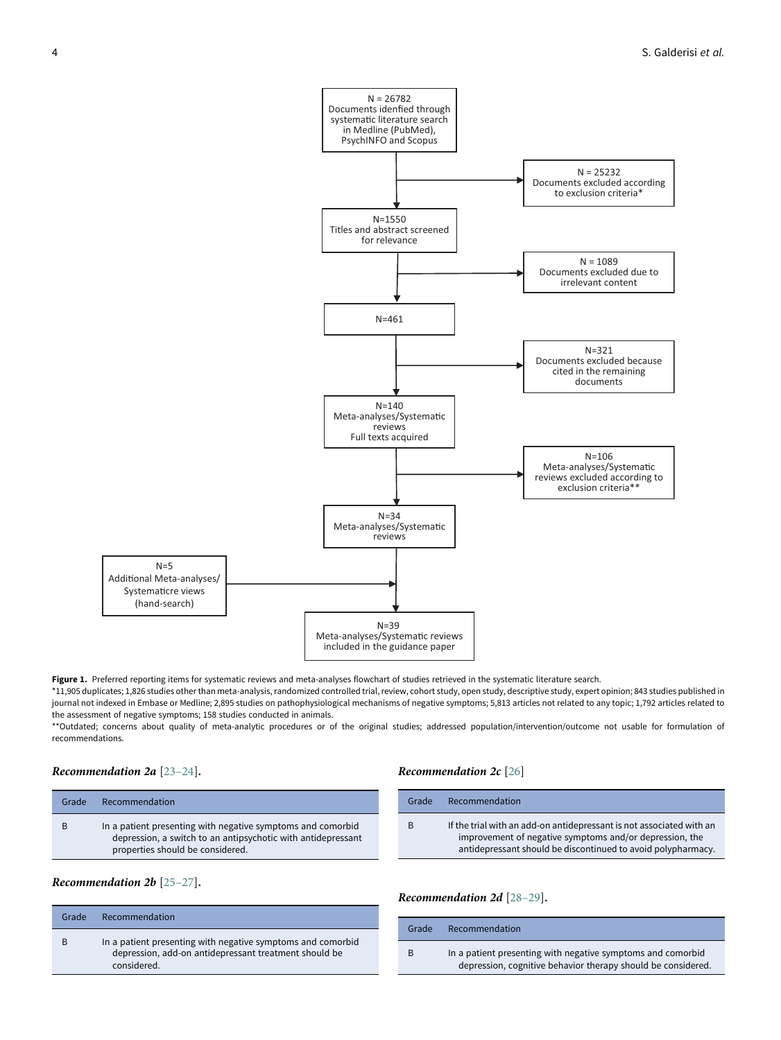<span id="page-3-0"></span>

Figure 1. Preferred reporting items for systematic reviews and meta-analyses flowchart of studies retrieved in the systematic literature search.

\*11,905 duplicates; 1,826 studies other than meta-analysis, randomized controlled trial, review, cohort study, open study, descriptive study, expert opinion; 843 studies published in journal not indexed in Embase or Medline; 2,895 studies on pathophysiological mechanisms of negative symptoms; 5,813 articles not related to any topic; 1,792 articles related to the assessment of negative symptoms; 158 studies conducted in animals.

\*\*Outdated; concerns about quality of meta-analytic procedures or of the original studies; addressed population/intervention/outcome not usable for formulation of recommendations.

# Recommendation 2a [23–24].

# Recommendation 2c [[26\]](#page-13-5)

Grade Recommendation

| Grade | Recommendation                                                                                                                                                  |
|-------|-----------------------------------------------------------------------------------------------------------------------------------------------------------------|
|       | In a patient presenting with negative symptoms and comorbid<br>depression, a switch to an antipsychotic with antidepressant<br>properties should be considered. |

# Recommendation 2b [25–27].

| Grade | Recommendation                                                                                                                      |
|-------|-------------------------------------------------------------------------------------------------------------------------------------|
| B     | In a patient presenting with negative symptoms and comorbid<br>depression, add-on antidepressant treatment should be<br>considered. |

## Recommendation 2d [28–29].

| Grade | Recommendation                                                                                                              |
|-------|-----------------------------------------------------------------------------------------------------------------------------|
| B     | In a patient presenting with negative symptoms and comorbid<br>depression, cognitive behavior therapy should be considered. |

B If the trial with an add-on antidepressant is not associated with an improvement of negative symptoms and/or depression, the antidepressant should be discontinued to avoid polypharmacy.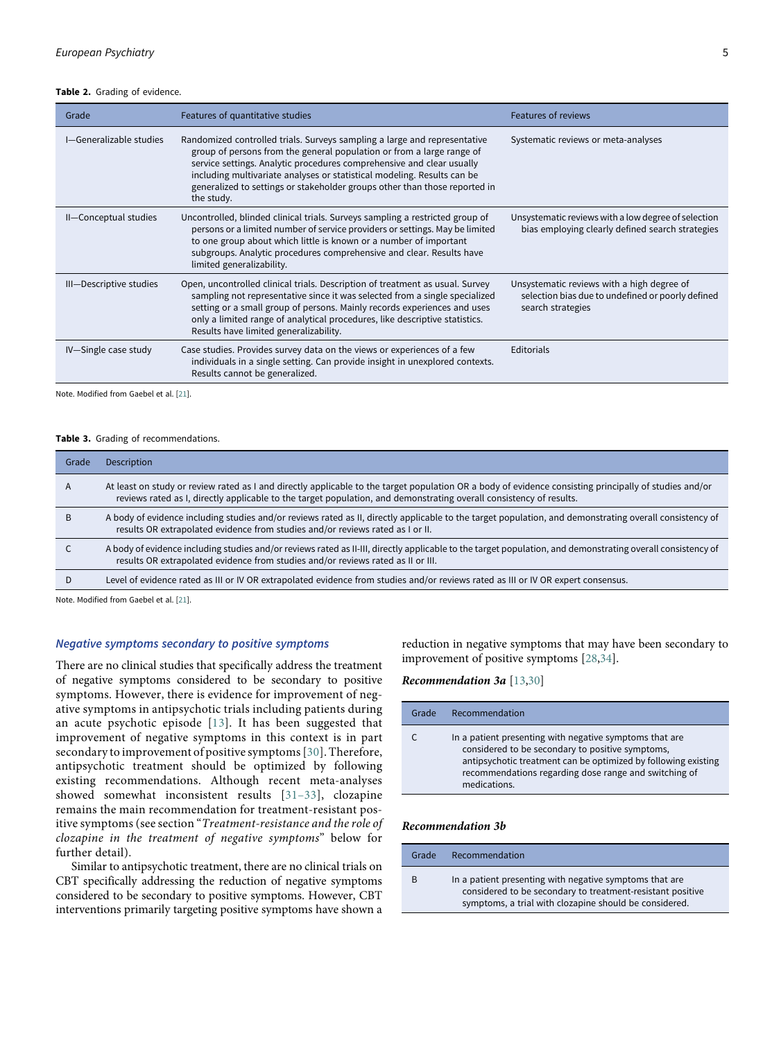#### Table 2. Grading of evidence.

| Grade                   | Features of quantitative studies                                                                                                                                                                                                                                                                                                                                                                   | <b>Features of reviews</b>                                                                                           |
|-------------------------|----------------------------------------------------------------------------------------------------------------------------------------------------------------------------------------------------------------------------------------------------------------------------------------------------------------------------------------------------------------------------------------------------|----------------------------------------------------------------------------------------------------------------------|
| I-Generalizable studies | Randomized controlled trials. Surveys sampling a large and representative<br>group of persons from the general population or from a large range of<br>service settings. Analytic procedures comprehensive and clear usually<br>including multivariate analyses or statistical modeling. Results can be<br>generalized to settings or stakeholder groups other than those reported in<br>the study. | Systematic reviews or meta-analyses                                                                                  |
| II-Conceptual studies   | Uncontrolled, blinded clinical trials. Surveys sampling a restricted group of<br>persons or a limited number of service providers or settings. May be limited<br>to one group about which little is known or a number of important<br>subgroups. Analytic procedures comprehensive and clear. Results have<br>limited generalizability.                                                            | Unsystematic reviews with a low degree of selection<br>bias employing clearly defined search strategies              |
| III-Descriptive studies | Open, uncontrolled clinical trials. Description of treatment as usual. Survey<br>sampling not representative since it was selected from a single specialized<br>setting or a small group of persons. Mainly records experiences and uses<br>only a limited range of analytical procedures, like descriptive statistics.<br>Results have limited generalizability.                                  | Unsystematic reviews with a high degree of<br>selection bias due to undefined or poorly defined<br>search strategies |
| IV-Single case study    | Case studies. Provides survey data on the views or experiences of a few<br>individuals in a single setting. Can provide insight in unexplored contexts.<br>Results cannot be generalized.                                                                                                                                                                                                          | <b>Editorials</b>                                                                                                    |

<span id="page-4-0"></span>Note. Modified from Gaebel et al. [\[21\]](#page-13-0).

# Table 3. Grading of recommendations.

| Grade | Description                                                                                                                                                                                                                                                                   |
|-------|-------------------------------------------------------------------------------------------------------------------------------------------------------------------------------------------------------------------------------------------------------------------------------|
| A     | At least on study or review rated as I and directly applicable to the target population OR a body of evidence consisting principally of studies and/or<br>reviews rated as I, directly applicable to the target population, and demonstrating overall consistency of results. |
|       | A body of evidence including studies and/or reviews rated as II, directly applicable to the target population, and demonstrating overall consistency of<br>results OR extrapolated evidence from studies and/or reviews rated as I or II.                                     |
|       | A body of evidence including studies and/or reviews rated as II-III, directly applicable to the target population, and demonstrating overall consistency of<br>results OR extrapolated evidence from studies and/or reviews rated as II or III.                               |
|       | Level of evidence rated as III or IV OR extrapolated evidence from studies and/or reviews rated as III or IV OR expert consensus.                                                                                                                                             |

<span id="page-4-1"></span>Note. Modified from Gaebel et al. [\[21\]](#page-13-0).

# Negative symptoms secondary to positive symptoms

There are no clinical studies that specifically address the treatment of negative symptoms considered to be secondary to positive symptoms. However, there is evidence for improvement of negative symptoms in antipsychotic trials including patients during an acute psychotic episode [[13](#page-12-5)]. It has been suggested that improvement of negative symptoms in this context is in part secondary to improvement of positive symptoms [\[30\]](#page-13-9). Therefore, antipsychotic treatment should be optimized by following existing recommendations. Although recent meta-analyses showed somewhat inconsistent results [31–33], clozapine remains the main recommendation for treatment-resistant positive symptoms (see section "Treatment-resistance and the role of clozapine in the treatment of negative symptoms" below for further detail).

Similar to antipsychotic treatment, there are no clinical trials on CBT specifically addressing the reduction of negative symptoms considered to be secondary to positive symptoms. However, CBT interventions primarily targeting positive symptoms have shown a reduction in negative symptoms that may have been secondary to improvement of positive symptoms [[28,](#page-13-7)[34\]](#page-13-10).

Recommendation 3a [[13,](#page-12-5)[30\]](#page-13-9)

| Grade | Recommendation                                                                                                                                                                                                                                         |
|-------|--------------------------------------------------------------------------------------------------------------------------------------------------------------------------------------------------------------------------------------------------------|
| C     | In a patient presenting with negative symptoms that are<br>considered to be secondary to positive symptoms,<br>antipsychotic treatment can be optimized by following existing<br>recommendations regarding dose range and switching of<br>medications. |

## Recommendation 3b

| Grade | Recommendation                                                                                                                                                                  |
|-------|---------------------------------------------------------------------------------------------------------------------------------------------------------------------------------|
| B     | In a patient presenting with negative symptoms that are<br>considered to be secondary to treatment-resistant positive<br>symptoms, a trial with clozapine should be considered. |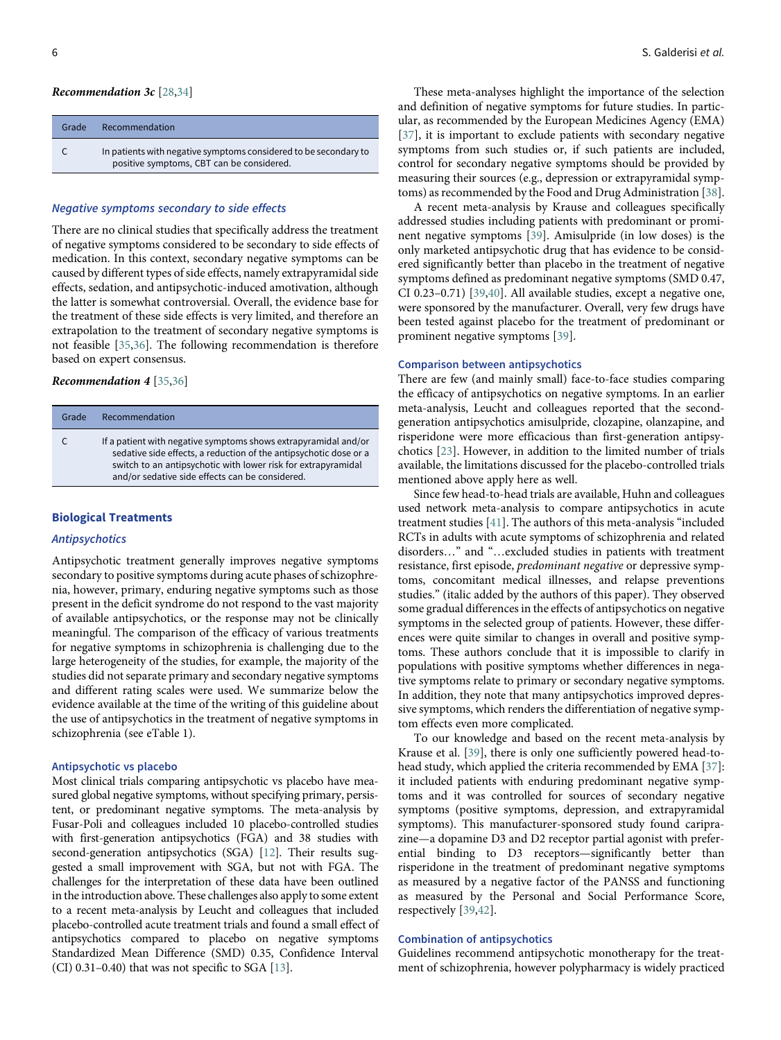#### Recommendation 3c [[28,](#page-13-7)[34](#page-13-10)]

| Grade | Recommendation                                                                                                |
|-------|---------------------------------------------------------------------------------------------------------------|
|       | In patients with negative symptoms considered to be secondary to<br>positive symptoms, CBT can be considered. |

## Negative symptoms secondary to side effects

There are no clinical studies that specifically address the treatment of negative symptoms considered to be secondary to side effects of medication. In this context, secondary negative symptoms can be caused by different types of side effects, namely extrapyramidal side effects, sedation, and antipsychotic-induced amotivation, although the latter is somewhat controversial. Overall, the evidence base for the treatment of these side effects is very limited, and therefore an extrapolation to the treatment of secondary negative symptoms is not feasible [[35,](#page-13-11)[36\]](#page-13-12). The following recommendation is therefore based on expert consensus.

## Recommendation 4 [\[35](#page-13-11)[,36](#page-13-12)]

| Grade | Recommendation                                                                                                                                                                                                                                           |
|-------|----------------------------------------------------------------------------------------------------------------------------------------------------------------------------------------------------------------------------------------------------------|
| C     | If a patient with negative symptoms shows extrapyramidal and/or<br>sedative side effects, a reduction of the antipsychotic dose or a<br>switch to an antipsychotic with lower risk for extrapyramidal<br>and/or sedative side effects can be considered. |

# Biological Treatments

## Antipsychotics

Antipsychotic treatment generally improves negative symptoms secondary to positive symptoms during acute phases of schizophrenia, however, primary, enduring negative symptoms such as those present in the deficit syndrome do not respond to the vast majority of available antipsychotics, or the response may not be clinically meaningful. The comparison of the efficacy of various treatments for negative symptoms in schizophrenia is challenging due to the large heterogeneity of the studies, for example, the majority of the studies did not separate primary and secondary negative symptoms and different rating scales were used. We summarize below the evidence available at the time of the writing of this guideline about the use of antipsychotics in the treatment of negative symptoms in schizophrenia (see eTable 1).

## Antipsychotic vs placebo

Most clinical trials comparing antipsychotic vs placebo have measured global negative symptoms, without specifying primary, persistent, or predominant negative symptoms. The meta-analysis by Fusar-Poli and colleagues included 10 placebo-controlled studies with first-generation antipsychotics (FGA) and 38 studies with second-generation antipsychotics (SGA) [[12\]](#page-12-4). Their results suggested a small improvement with SGA, but not with FGA. The challenges for the interpretation of these data have been outlined in the introduction above. These challenges also apply to some extent to a recent meta-analysis by Leucht and colleagues that included placebo-controlled acute treatment trials and found a small effect of antipsychotics compared to placebo on negative symptoms Standardized Mean Difference (SMD) 0.35, Confidence Interval (CI) 0.31–0.40) that was not specific to SGA [\[13\]](#page-12-5).

These meta-analyses highlight the importance of the selection and definition of negative symptoms for future studies. In particular, as recommended by the European Medicines Agency (EMA) [[37](#page-13-13)], it is important to exclude patients with secondary negative symptoms from such studies or, if such patients are included, control for secondary negative symptoms should be provided by measuring their sources (e.g., depression or extrapyramidal symptoms) as recommended by the Food and Drug Administration [\[38](#page-13-14)].

A recent meta-analysis by Krause and colleagues specifically addressed studies including patients with predominant or prominent negative symptoms [[39\]](#page-13-15). Amisulpride (in low doses) is the only marketed antipsychotic drug that has evidence to be considered significantly better than placebo in the treatment of negative symptoms defined as predominant negative symptoms (SMD 0.47, CI 0.23–0.71) [\[39](#page-13-15)[,40](#page-13-16)]. All available studies, except a negative one, were sponsored by the manufacturer. Overall, very few drugs have been tested against placebo for the treatment of predominant or prominent negative symptoms [[39](#page-13-15)].

## Comparison between antipsychotics

There are few (and mainly small) face-to-face studies comparing the efficacy of antipsychotics on negative symptoms. In an earlier meta-analysis, Leucht and colleagues reported that the secondgeneration antipsychotics amisulpride, clozapine, olanzapine, and risperidone were more efficacious than first-generation antipsychotics [\[23](#page-13-2)]. However, in addition to the limited number of trials available, the limitations discussed for the placebo-controlled trials mentioned above apply here as well.

Since few head-to-head trials are available, Huhn and colleagues used network meta-analysis to compare antipsychotics in acute treatment studies [[41\]](#page-13-17). The authors of this meta-analysis "included RCTs in adults with acute symptoms of schizophrenia and related disorders…" and "…excluded studies in patients with treatment resistance, first episode, predominant negative or depressive symptoms, concomitant medical illnesses, and relapse preventions studies." (italic added by the authors of this paper). They observed some gradual differences in the effects of antipsychotics on negative symptoms in the selected group of patients. However, these differences were quite similar to changes in overall and positive symptoms. These authors conclude that it is impossible to clarify in populations with positive symptoms whether differences in negative symptoms relate to primary or secondary negative symptoms. In addition, they note that many antipsychotics improved depressive symptoms, which renders the differentiation of negative symptom effects even more complicated.

To our knowledge and based on the recent meta-analysis by Krause et al. [\[39](#page-13-15)], there is only one sufficiently powered head-tohead study, which applied the criteria recommended by EMA [\[37](#page-13-13)]: it included patients with enduring predominant negative symptoms and it was controlled for sources of secondary negative symptoms (positive symptoms, depression, and extrapyramidal symptoms). This manufacturer-sponsored study found cariprazine—a dopamine D3 and D2 receptor partial agonist with preferential binding to D3 receptors—significantly better than risperidone in the treatment of predominant negative symptoms as measured by a negative factor of the PANSS and functioning as measured by the Personal and Social Performance Score, respectively [\[39](#page-13-15),[42\]](#page-13-1).

#### Combination of antipsychotics

Guidelines recommend antipsychotic monotherapy for the treatment of schizophrenia, however polypharmacy is widely practiced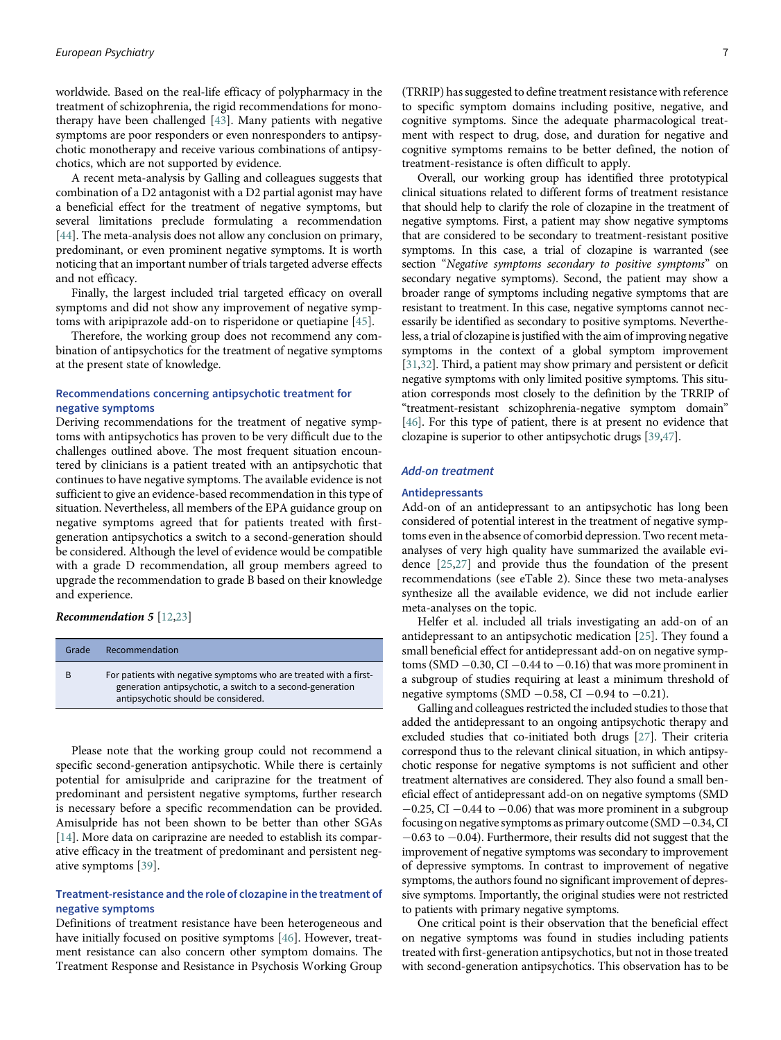worldwide. Based on the real-life efficacy of polypharmacy in the treatment of schizophrenia, the rigid recommendations for monotherapy have been challenged [[43\]](#page-13-3). Many patients with negative symptoms are poor responders or even nonresponders to antipsychotic monotherapy and receive various combinations of antipsychotics, which are not supported by evidence.

A recent meta-analysis by Galling and colleagues suggests that combination of a D2 antagonist with a D2 partial agonist may have a beneficial effect for the treatment of negative symptoms, but several limitations preclude formulating a recommendation [[44\]](#page-13-4). The meta-analysis does not allow any conclusion on primary, predominant, or even prominent negative symptoms. It is worth noticing that an important number of trials targeted adverse effects and not efficacy.

Finally, the largest included trial targeted efficacy on overall symptoms and did not show any improvement of negative symptoms with aripiprazole add-on to risperidone or quetiapine [\[45](#page-13-5)].

Therefore, the working group does not recommend any combination of antipsychotics for the treatment of negative symptoms at the present state of knowledge.

# Recommendations concerning antipsychotic treatment for negative symptoms

Deriving recommendations for the treatment of negative symptoms with antipsychotics has proven to be very difficult due to the challenges outlined above. The most frequent situation encountered by clinicians is a patient treated with an antipsychotic that continues to have negative symptoms. The available evidence is not sufficient to give an evidence-based recommendation in this type of situation. Nevertheless, all members of the EPA guidance group on negative symptoms agreed that for patients treated with firstgeneration antipsychotics a switch to a second-generation should be considered. Although the level of evidence would be compatible with a grade D recommendation, all group members agreed to upgrade the recommendation to grade B based on their knowledge and experience.

## Recommendation 5 [[12](#page-12-4)[,23](#page-13-2)]

| Grade | Recommendation                                                                                                                                                        |
|-------|-----------------------------------------------------------------------------------------------------------------------------------------------------------------------|
| B     | For patients with negative symptoms who are treated with a first-<br>generation antipsychotic, a switch to a second-generation<br>antipsychotic should be considered. |

Please note that the working group could not recommend a specific second-generation antipsychotic. While there is certainly potential for amisulpride and cariprazine for the treatment of predominant and persistent negative symptoms, further research is necessary before a specific recommendation can be provided. Amisulpride has not been shown to be better than other SGAs [[14\]](#page-12-6). More data on cariprazine are needed to establish its comparative efficacy in the treatment of predominant and persistent negative symptoms [[39\]](#page-13-15).

# Treatment-resistance and the role of clozapine in the treatment of negative symptoms

Definitions of treatment resistance have been heterogeneous and have initially focused on positive symptoms [\[46](#page-13-18)]. However, treatment resistance can also concern other symptom domains. The Treatment Response and Resistance in Psychosis Working Group

(TRRIP) has suggested to define treatment resistance with reference to specific symptom domains including positive, negative, and cognitive symptoms. Since the adequate pharmacological treatment with respect to drug, dose, and duration for negative and cognitive symptoms remains to be better defined, the notion of treatment-resistance is often difficult to apply.

Overall, our working group has identified three prototypical clinical situations related to different forms of treatment resistance that should help to clarify the role of clozapine in the treatment of negative symptoms. First, a patient may show negative symptoms that are considered to be secondary to treatment-resistant positive symptoms. In this case, a trial of clozapine is warranted (see section "Negative symptoms secondary to positive symptoms" on secondary negative symptoms). Second, the patient may show a broader range of symptoms including negative symptoms that are resistant to treatment. In this case, negative symptoms cannot necessarily be identified as secondary to positive symptoms. Nevertheless, a trial of clozapine is justified with the aim of improving negative symptoms in the context of a global symptom improvement [[31,](#page-13-19)[32](#page-13-20)]. Third, a patient may show primary and persistent or deficit negative symptoms with only limited positive symptoms. This situation corresponds most closely to the definition by the TRRIP of "treatment-resistant schizophrenia-negative symptom domain" [[46\]](#page-13-18). For this type of patient, there is at present no evidence that clozapine is superior to other antipsychotic drugs [[39](#page-13-15)[,47](#page-13-8)].

## Add-on treatment

# Antidepressants

Add-on of an antidepressant to an antipsychotic has long been considered of potential interest in the treatment of negative symptoms even in the absence of comorbid depression. Two recent metaanalyses of very high quality have summarized the available evidence [\[25](#page-13-4)[,27](#page-13-6)] and provide thus the foundation of the present recommendations (see eTable 2). Since these two meta-analyses synthesize all the available evidence, we did not include earlier meta-analyses on the topic.

Helfer et al. included all trials investigating an add-on of an antidepressant to an antipsychotic medication [\[25](#page-13-4)]. They found a small beneficial effect for antidepressant add-on on negative symptoms (SMD  $-0.30$ , CI  $-0.44$  to  $-0.16$ ) that was more prominent in a subgroup of studies requiring at least a minimum threshold of negative symptoms (SMD  $-0.58$ , CI  $-0.94$  to  $-0.21$ ).

Galling and colleagues restricted the included studies to those that added the antidepressant to an ongoing antipsychotic therapy and excluded studies that co-initiated both drugs [\[27\]](#page-13-6). Their criteria correspond thus to the relevant clinical situation, in which antipsychotic response for negative symptoms is not sufficient and other treatment alternatives are considered. They also found a small beneficial effect of antidepressant add-on on negative symptoms (SMD  $-0.25$ , CI  $-0.44$  to  $-0.06$ ) that was more prominent in a subgroup focusing on negative symptoms as primary outcome (SMD  $-0.34$ , CI  $-0.63$  to  $-0.04$ ). Furthermore, their results did not suggest that the improvement of negative symptoms was secondary to improvement of depressive symptoms. In contrast to improvement of negative symptoms, the authors found no significant improvement of depressive symptoms. Importantly, the original studies were not restricted to patients with primary negative symptoms.

One critical point is their observation that the beneficial effect on negative symptoms was found in studies including patients treated with first-generation antipsychotics, but not in those treated with second-generation antipsychotics. This observation has to be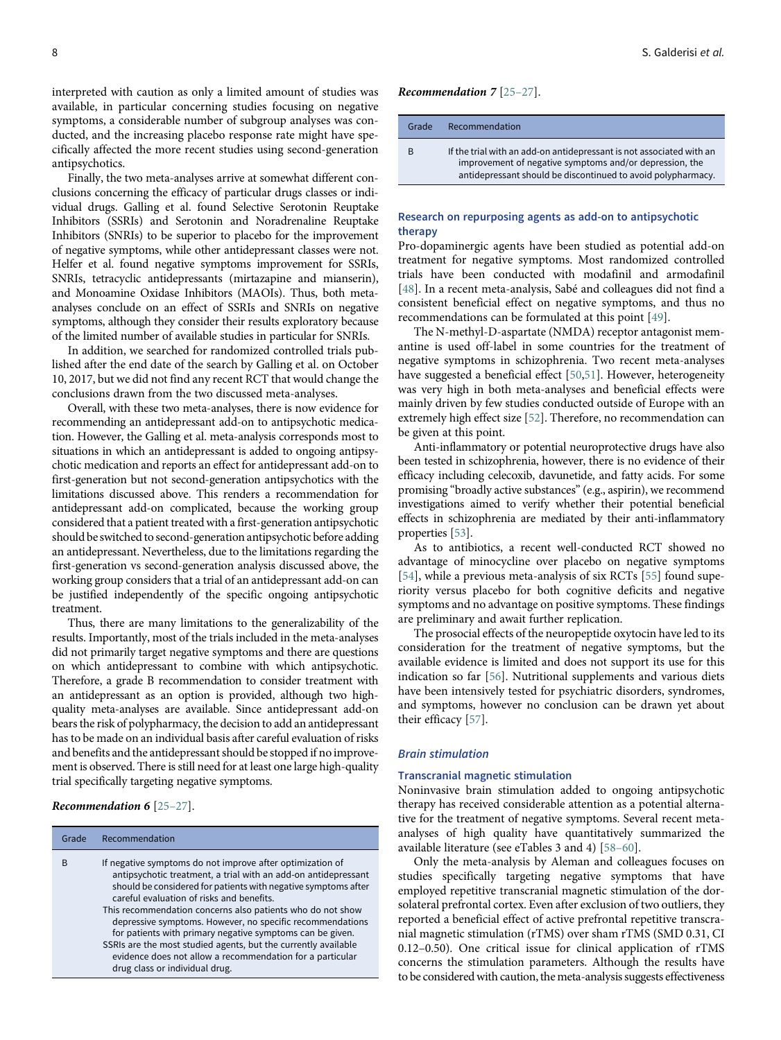interpreted with caution as only a limited amount of studies was available, in particular concerning studies focusing on negative symptoms, a considerable number of subgroup analyses was conducted, and the increasing placebo response rate might have specifically affected the more recent studies using second-generation antipsychotics.

Finally, the two meta-analyses arrive at somewhat different conclusions concerning the efficacy of particular drugs classes or individual drugs. Galling et al. found Selective Serotonin Reuptake Inhibitors (SSRIs) and Serotonin and Noradrenaline Reuptake Inhibitors (SNRIs) to be superior to placebo for the improvement of negative symptoms, while other antidepressant classes were not. Helfer et al. found negative symptoms improvement for SSRIs, SNRIs, tetracyclic antidepressants (mirtazapine and mianserin), and Monoamine Oxidase Inhibitors (MAOIs). Thus, both metaanalyses conclude on an effect of SSRIs and SNRIs on negative symptoms, although they consider their results exploratory because of the limited number of available studies in particular for SNRIs.

In addition, we searched for randomized controlled trials published after the end date of the search by Galling et al. on October 10, 2017, but we did not find any recent RCT that would change the conclusions drawn from the two discussed meta-analyses.

Overall, with these two meta-analyses, there is now evidence for recommending an antidepressant add-on to antipsychotic medication. However, the Galling et al. meta-analysis corresponds most to situations in which an antidepressant is added to ongoing antipsychotic medication and reports an effect for antidepressant add-on to first-generation but not second-generation antipsychotics with the limitations discussed above. This renders a recommendation for antidepressant add-on complicated, because the working group considered that a patient treated with a first-generation antipsychotic should be switched to second-generation antipsychotic before adding an antidepressant. Nevertheless, due to the limitations regarding the first-generation vs second-generation analysis discussed above, the working group considers that a trial of an antidepressant add-on can be justified independently of the specific ongoing antipsychotic treatment.

Thus, there are many limitations to the generalizability of the results. Importantly, most of the trials included in the meta-analyses did not primarily target negative symptoms and there are questions on which antidepressant to combine with which antipsychotic. Therefore, a grade B recommendation to consider treatment with an antidepressant as an option is provided, although two highquality meta-analyses are available. Since antidepressant add-on bears the risk of polypharmacy, the decision to add an antidepressant has to be made on an individual basis after careful evaluation of risks and benefits and the antidepressant should be stopped if no improvement is observed. There is still need for at least one large high-quality trial specifically targeting negative symptoms.

#### Recommendation 6 [25–27].

## Grade Recommendation

- B If negative symptoms do not improve after optimization of antipsychotic treatment, a trial with an add-on antidepressant should be considered for patients with negative symptoms after careful evaluation of risks and benefits. This recommendation concerns also patients who do not show depressive symptoms. However, no specific recommendations
	- for patients with primary negative symptoms can be given. SSRIs are the most studied agents, but the currently available evidence does not allow a recommendation for a particular drug class or individual drug.

Recommendation 7 [25–27].

| Grade | Recommendation                                                                                                                                                                                  |
|-------|-------------------------------------------------------------------------------------------------------------------------------------------------------------------------------------------------|
| B     | If the trial with an add-on antidepressant is not associated with an<br>improvement of negative symptoms and/or depression, the<br>antidepressant should be discontinued to avoid polypharmacy. |

## Research on repurposing agents as add-on to antipsychotic therapy

Pro-dopaminergic agents have been studied as potential add-on treatment for negative symptoms. Most randomized controlled trials have been conducted with modafinil and armodafinil [[48](#page-13-21)]. In a recent meta-analysis, Sabé and colleagues did not find a consistent beneficial effect on negative symptoms, and thus no recommendations can be formulated at this point [[49](#page-13-19)].

The N-methyl-D-aspartate (NMDA) receptor antagonist memantine is used off-label in some countries for the treatment of negative symptoms in schizophrenia. Two recent meta-analyses have suggested a beneficial effect [[50,](#page-13-20)[51\]](#page-13-22). However, heterogeneity was very high in both meta-analyses and beneficial effects were mainly driven by few studies conducted outside of Europe with an extremely high effect size [\[52](#page-13-23)]. Therefore, no recommendation can be given at this point.

Anti-inflammatory or potential neuroprotective drugs have also been tested in schizophrenia, however, there is no evidence of their efficacy including celecoxib, davunetide, and fatty acids. For some promising "broadly active substances"(e.g., aspirin), we recommend investigations aimed to verify whether their potential beneficial effects in schizophrenia are mediated by their anti-inflammatory properties [[53](#page-13-24)].

As to antibiotics, a recent well-conducted RCT showed no advantage of minocycline over placebo on negative symptoms [[54](#page-13-12)], while a previous meta-analysis of six RCTs [\[55](#page-13-25)] found superiority versus placebo for both cognitive deficits and negative symptoms and no advantage on positive symptoms. These findings are preliminary and await further replication.

The prosocial effects of the neuropeptide oxytocin have led to its consideration for the treatment of negative symptoms, but the available evidence is limited and does not support its use for this indication so far [\[56](#page-13-26)]. Nutritional supplements and various diets have been intensively tested for psychiatric disorders, syndromes, and symptoms, however no conclusion can be drawn yet about their efficacy [[57\]](#page-13-27).

## Brain stimulation

## Transcranial magnetic stimulation

Noninvasive brain stimulation added to ongoing antipsychotic therapy has received considerable attention as a potential alternative for the treatment of negative symptoms. Several recent metaanalyses of high quality have quantitatively summarized the available literature (see eTables 3 and 4) [58–60].

Only the meta-analysis by Aleman and colleagues focuses on studies specifically targeting negative symptoms that have employed repetitive transcranial magnetic stimulation of the dorsolateral prefrontal cortex. Even after exclusion of two outliers, they reported a beneficial effect of active prefrontal repetitive transcranial magnetic stimulation (rTMS) over sham rTMS (SMD 0.31, CI 0.12–0.50). One critical issue for clinical application of rTMS concerns the stimulation parameters. Although the results have to be considered with caution, the meta-analysis suggests effectiveness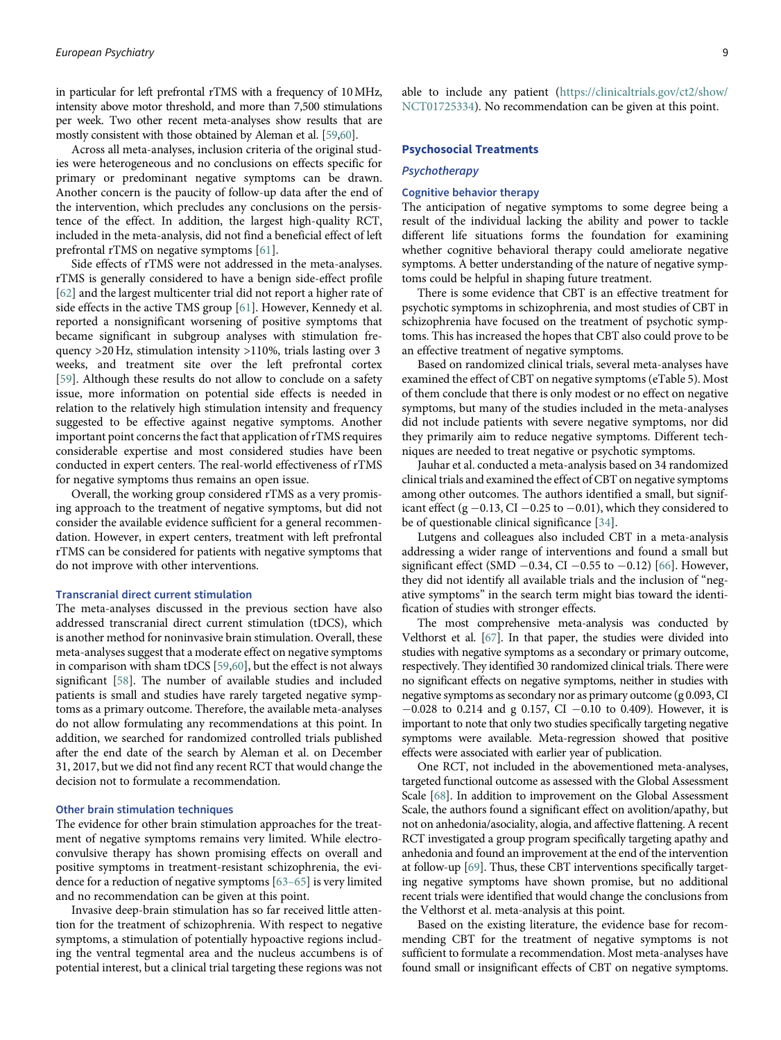in particular for left prefrontal rTMS with a frequency of 10MHz, intensity above motor threshold, and more than 7,500 stimulations per week. Two other recent meta-analyses show results that are mostly consistent with those obtained by Aleman et al. [[59](#page-14-0)[,60](#page-14-1)].

Across all meta-analyses, inclusion criteria of the original studies were heterogeneous and no conclusions on effects specific for primary or predominant negative symptoms can be drawn. Another concern is the paucity of follow-up data after the end of the intervention, which precludes any conclusions on the persistence of the effect. In addition, the largest high-quality RCT, included in the meta-analysis, did not find a beneficial effect of left prefrontal rTMS on negative symptoms [\[61](#page-14-2)].

Side effects of rTMS were not addressed in the meta-analyses. rTMS is generally considered to have a benign side-effect profile [[62\]](#page-14-3) and the largest multicenter trial did not report a higher rate of side effects in the active TMS group [[61\]](#page-14-2). However, Kennedy et al. reported a nonsignificant worsening of positive symptoms that became significant in subgroup analyses with stimulation frequency >20 Hz, stimulation intensity >110%, trials lasting over 3 weeks, and treatment site over the left prefrontal cortex [[59\]](#page-14-0). Although these results do not allow to conclude on a safety issue, more information on potential side effects is needed in relation to the relatively high stimulation intensity and frequency suggested to be effective against negative symptoms. Another important point concerns the fact that application of rTMS requires considerable expertise and most considered studies have been conducted in expert centers. The real-world effectiveness of rTMS for negative symptoms thus remains an open issue.

Overall, the working group considered rTMS as a very promising approach to the treatment of negative symptoms, but did not consider the available evidence sufficient for a general recommendation. However, in expert centers, treatment with left prefrontal rTMS can be considered for patients with negative symptoms that do not improve with other interventions.

# Transcranial direct current stimulation

The meta-analyses discussed in the previous section have also addressed transcranial direct current stimulation (tDCS), which is another method for noninvasive brain stimulation. Overall, these meta-analyses suggest that a moderate effect on negative symptoms in comparison with sham tDCS [[59,](#page-14-0)[60\]](#page-14-1), but the effect is not always significant [\[58](#page-13-28)]. The number of available studies and included patients is small and studies have rarely targeted negative symptoms as a primary outcome. Therefore, the available meta-analyses do not allow formulating any recommendations at this point. In addition, we searched for randomized controlled trials published after the end date of the search by Aleman et al. on December 31, 2017, but we did not find any recent RCT that would change the decision not to formulate a recommendation.

# Other brain stimulation techniques

The evidence for other brain stimulation approaches for the treatment of negative symptoms remains very limited. While electroconvulsive therapy has shown promising effects on overall and positive symptoms in treatment-resistant schizophrenia, the evidence for a reduction of negative symptoms [63–65] is very limited and no recommendation can be given at this point.

Invasive deep-brain stimulation has so far received little attention for the treatment of schizophrenia. With respect to negative symptoms, a stimulation of potentially hypoactive regions including the ventral tegmental area and the nucleus accumbens is of potential interest, but a clinical trial targeting these regions was not

able to include any patient [\(https://clinicaltrials.gov/ct2/show/](https://clinicaltrials.gov/ct2/show/NCT01725334) [NCT01725334\)](https://clinicaltrials.gov/ct2/show/NCT01725334). No recommendation can be given at this point.

## Psychosocial Treatments

## Psychotherapy

## Cognitive behavior therapy

The anticipation of negative symptoms to some degree being a result of the individual lacking the ability and power to tackle different life situations forms the foundation for examining whether cognitive behavioral therapy could ameliorate negative symptoms. A better understanding of the nature of negative symptoms could be helpful in shaping future treatment.

There is some evidence that CBT is an effective treatment for psychotic symptoms in schizophrenia, and most studies of CBT in schizophrenia have focused on the treatment of psychotic symptoms. This has increased the hopes that CBT also could prove to be an effective treatment of negative symptoms.

Based on randomized clinical trials, several meta-analyses have examined the effect of CBT on negative symptoms (eTable 5). Most of them conclude that there is only modest or no effect on negative symptoms, but many of the studies included in the meta-analyses did not include patients with severe negative symptoms, nor did they primarily aim to reduce negative symptoms. Different techniques are needed to treat negative or psychotic symptoms.

Jauhar et al. conducted a meta-analysis based on 34 randomized clinical trials and examined the effect of CBT on negative symptoms among other outcomes. The authors identified a small, but significant effect (g  $-0.13$ , CI  $-0.25$  to  $-0.01$ ), which they considered to be of questionable clinical significance [[34\]](#page-13-10).

Lutgens and colleagues also included CBT in a meta-analysis addressing a wider range of interventions and found a small but significant effect (SMD  $-0.34$ , CI  $-0.55$  to  $-0.12$ ) [[66\]](#page-14-4). However, they did not identify all available trials and the inclusion of "negative symptoms" in the search term might bias toward the identification of studies with stronger effects.

The most comprehensive meta-analysis was conducted by Velthorst et al. [\[67\]](#page-14-5). In that paper, the studies were divided into studies with negative symptoms as a secondary or primary outcome, respectively. They identified 30 randomized clinical trials. There were no significant effects on negative symptoms, neither in studies with negative symptoms as secondary nor as primary outcome (g 0.093, CI  $-0.028$  to 0.214 and g 0.157, CI  $-0.10$  to 0.409). However, it is important to note that only two studies specifically targeting negative symptoms were available. Meta-regression showed that positive effects were associated with earlier year of publication.

One RCT, not included in the abovementioned meta-analyses, targeted functional outcome as assessed with the Global Assessment Scale [\[68](#page-14-6)]. In addition to improvement on the Global Assessment Scale, the authors found a significant effect on avolition/apathy, but not on anhedonia/asociality, alogia, and affective flattening. A recent RCT investigated a group program specifically targeting apathy and anhedonia and found an improvement at the end of the intervention at follow-up [\[69\]](#page-14-7). Thus, these CBT interventions specifically targeting negative symptoms have shown promise, but no additional recent trials were identified that would change the conclusions from the Velthorst et al. meta-analysis at this point.

Based on the existing literature, the evidence base for recommending CBT for the treatment of negative symptoms is not sufficient to formulate a recommendation. Most meta-analyses have found small or insignificant effects of CBT on negative symptoms.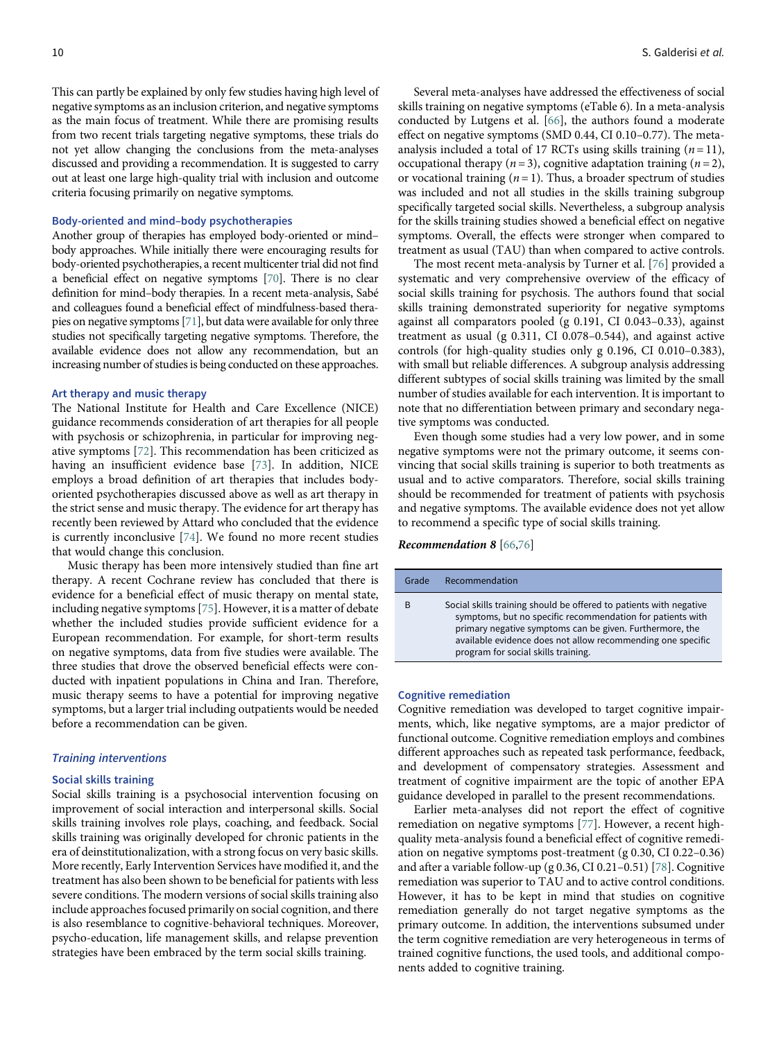This can partly be explained by only few studies having high level of negative symptoms as an inclusion criterion, and negative symptoms as the main focus of treatment. While there are promising results from two recent trials targeting negative symptoms, these trials do not yet allow changing the conclusions from the meta-analyses discussed and providing a recommendation. It is suggested to carry out at least one large high-quality trial with inclusion and outcome criteria focusing primarily on negative symptoms.

#### Body-oriented and mind–body psychotherapies

Another group of therapies has employed body-oriented or mind– body approaches. While initially there were encouraging results for body-oriented psychotherapies, a recent multicenter trial did not find a beneficial effect on negative symptoms [[70\]](#page-14-8). There is no clear definition for mind–body therapies. In a recent meta-analysis, Sabé and colleagues found a beneficial effect of mindfulness-based therapies on negative symptoms [[71](#page-14-9)], but data were available for only three studies not specifically targeting negative symptoms. Therefore, the available evidence does not allow any recommendation, but an increasing number of studies is being conducted on these approaches.

#### Art therapy and music therapy

The National Institute for Health and Care Excellence (NICE) guidance recommends consideration of art therapies for all people with psychosis or schizophrenia, in particular for improving negative symptoms [[72](#page-14-10)]. This recommendation has been criticized as having an insufficient evidence base [[73](#page-14-11)]. In addition, NICE employs a broad definition of art therapies that includes bodyoriented psychotherapies discussed above as well as art therapy in the strict sense and music therapy. The evidence for art therapy has recently been reviewed by Attard who concluded that the evidence is currently inconclusive [[74](#page-14-12)]. We found no more recent studies that would change this conclusion.

Music therapy has been more intensively studied than fine art therapy. A recent Cochrane review has concluded that there is evidence for a beneficial effect of music therapy on mental state, including negative symptoms [[75](#page-14-13)]. However, it is a matter of debate whether the included studies provide sufficient evidence for a European recommendation. For example, for short-term results on negative symptoms, data from five studies were available. The three studies that drove the observed beneficial effects were conducted with inpatient populations in China and Iran. Therefore, music therapy seems to have a potential for improving negative symptoms, but a larger trial including outpatients would be needed before a recommendation can be given.

#### Training interventions

## Social skills training

Social skills training is a psychosocial intervention focusing on improvement of social interaction and interpersonal skills. Social skills training involves role plays, coaching, and feedback. Social skills training was originally developed for chronic patients in the era of deinstitutionalization, with a strong focus on very basic skills. More recently, Early Intervention Services have modified it, and the treatment has also been shown to be beneficial for patients with less severe conditions. The modern versions of social skills training also include approaches focused primarily on social cognition, and there is also resemblance to cognitive-behavioral techniques. Moreover, psycho-education, life management skills, and relapse prevention strategies have been embraced by the term social skills training.

Several meta-analyses have addressed the effectiveness of social skills training on negative symptoms (eTable 6). In a meta-analysis conducted by Lutgens et al. [\[66](#page-14-4)], the authors found a moderate effect on negative symptoms (SMD 0.44, CI 0.10–0.77). The metaanalysis included a total of 17 RCTs using skills training  $(n = 11)$ , occupational therapy ( $n = 3$ ), cognitive adaptation training ( $n = 2$ ), or vocational training  $(n = 1)$ . Thus, a broader spectrum of studies was included and not all studies in the skills training subgroup specifically targeted social skills. Nevertheless, a subgroup analysis for the skills training studies showed a beneficial effect on negative symptoms. Overall, the effects were stronger when compared to treatment as usual (TAU) than when compared to active controls.

The most recent meta-analysis by Turner et al. [[76\]](#page-14-14) provided a systematic and very comprehensive overview of the efficacy of social skills training for psychosis. The authors found that social skills training demonstrated superiority for negative symptoms against all comparators pooled (g 0.191, CI 0.043–0.33), against treatment as usual (g 0.311, CI 0.078–0.544), and against active controls (for high-quality studies only g 0.196, CI 0.010–0.383), with small but reliable differences. A subgroup analysis addressing different subtypes of social skills training was limited by the small number of studies available for each intervention. It is important to note that no differentiation between primary and secondary negative symptoms was conducted.

Even though some studies had a very low power, and in some negative symptoms were not the primary outcome, it seems convincing that social skills training is superior to both treatments as usual and to active comparators. Therefore, social skills training should be recommended for treatment of patients with psychosis and negative symptoms. The available evidence does not yet allow to recommend a specific type of social skills training.

Recommendation 8 [\[66](#page-14-4)[,76](#page-14-14)]

| Grade | Recommendation                                                                                                                                                                                                                                                                                     |
|-------|----------------------------------------------------------------------------------------------------------------------------------------------------------------------------------------------------------------------------------------------------------------------------------------------------|
| B     | Social skills training should be offered to patients with negative<br>symptoms, but no specific recommendation for patients with<br>primary negative symptoms can be given. Furthermore, the<br>available evidence does not allow recommending one specific<br>program for social skills training. |

#### Cognitive remediation

Cognitive remediation was developed to target cognitive impairments, which, like negative symptoms, are a major predictor of functional outcome. Cognitive remediation employs and combines different approaches such as repeated task performance, feedback, and development of compensatory strategies. Assessment and treatment of cognitive impairment are the topic of another EPA guidance developed in parallel to the present recommendations.

Earlier meta-analyses did not report the effect of cognitive remediation on negative symptoms [[77\]](#page-14-15). However, a recent highquality meta-analysis found a beneficial effect of cognitive remediation on negative symptoms post-treatment (g 0.30, CI 0.22–0.36) and after a variable follow-up (g 0.36, CI 0.21–0.51) [[78](#page-14-0)]. Cognitive remediation was superior to TAU and to active control conditions. However, it has to be kept in mind that studies on cognitive remediation generally do not target negative symptoms as the primary outcome. In addition, the interventions subsumed under the term cognitive remediation are very heterogeneous in terms of trained cognitive functions, the used tools, and additional components added to cognitive training.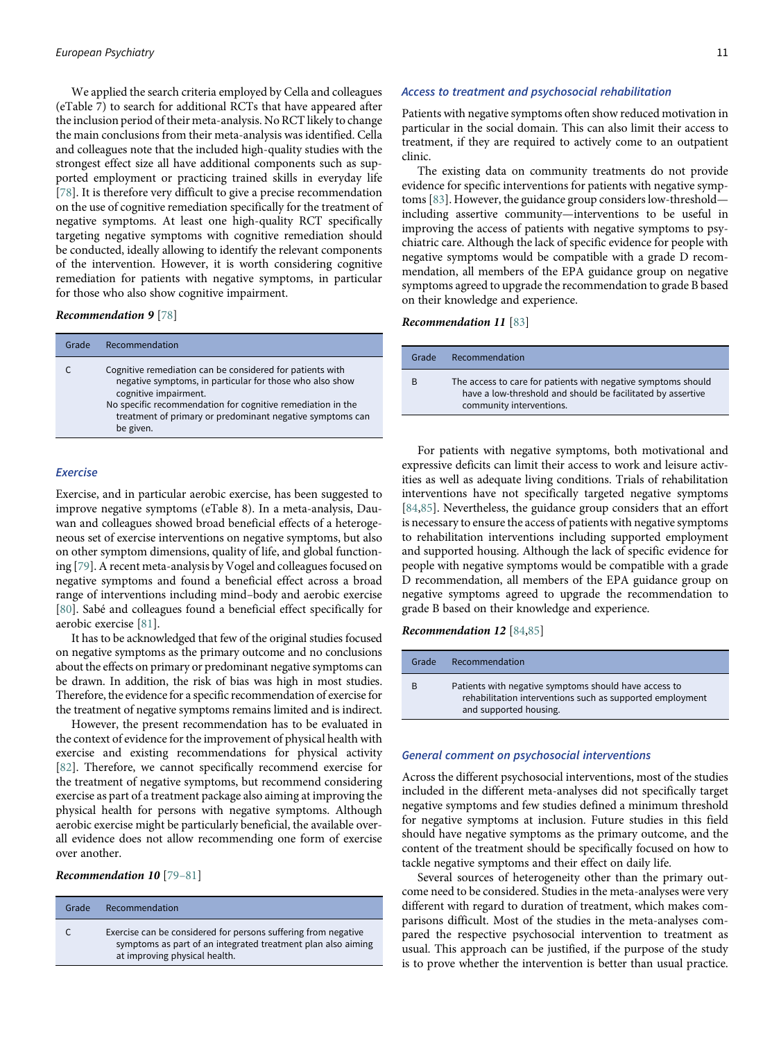We applied the search criteria employed by Cella and colleagues (eTable 7) to search for additional RCTs that have appeared after the inclusion period of their meta-analysis. No RCT likely to change the main conclusions from their meta-analysis was identified. Cella and colleagues note that the included high-quality studies with the strongest effect size all have additional components such as supported employment or practicing trained skills in everyday life [[78\]](#page-14-0). It is therefore very difficult to give a precise recommendation on the use of cognitive remediation specifically for the treatment of negative symptoms. At least one high-quality RCT specifically targeting negative symptoms with cognitive remediation should be conducted, ideally allowing to identify the relevant components of the intervention. However, it is worth considering cognitive remediation for patients with negative symptoms, in particular for those who also show cognitive impairment.

# Recommendation 9 [[78](#page-14-0)]

| Grade | Recommendation                                                                                                                                                                                                                                                                          |
|-------|-----------------------------------------------------------------------------------------------------------------------------------------------------------------------------------------------------------------------------------------------------------------------------------------|
|       | Cognitive remediation can be considered for patients with<br>negative symptoms, in particular for those who also show<br>cognitive impairment.<br>No specific recommendation for cognitive remediation in the<br>treatment of primary or predominant negative symptoms can<br>be given. |
|       |                                                                                                                                                                                                                                                                                         |

## Exercise

Exercise, and in particular aerobic exercise, has been suggested to improve negative symptoms (eTable 8). In a meta-analysis, Dauwan and colleagues showed broad beneficial effects of a heterogeneous set of exercise interventions on negative symptoms, but also on other symptom dimensions, quality of life, and global functioning [\[79](#page-14-1)]. A recent meta-analysis by Vogel and colleagues focused on negative symptoms and found a beneficial effect across a broad range of interventions including mind–body and aerobic exercise [[80\]](#page-14-2). Sabé and colleagues found a beneficial effect specifically for aerobic exercise [[81\]](#page-14-16).

It has to be acknowledged that few of the original studies focused on negative symptoms as the primary outcome and no conclusions about the effects on primary or predominant negative symptoms can be drawn. In addition, the risk of bias was high in most studies. Therefore, the evidence for a specific recommendation of exercise for the treatment of negative symptoms remains limited and is indirect.

However, the present recommendation has to be evaluated in the context of evidence for the improvement of physical health with exercise and existing recommendations for physical activity [[82\]](#page-14-17). Therefore, we cannot specifically recommend exercise for the treatment of negative symptoms, but recommend considering exercise as part of a treatment package also aiming at improving the physical health for persons with negative symptoms. Although aerobic exercise might be particularly beneficial, the available overall evidence does not allow recommending one form of exercise over another.

# Recommendation 10 [79–81]

| Grade | Recommendation                                                                                                                                                  |
|-------|-----------------------------------------------------------------------------------------------------------------------------------------------------------------|
|       | Exercise can be considered for persons suffering from negative<br>symptoms as part of an integrated treatment plan also aiming<br>at improving physical health. |

#### Access to treatment and psychosocial rehabilitation

Patients with negative symptoms often show reduced motivation in particular in the social domain. This can also limit their access to treatment, if they are required to actively come to an outpatient clinic.

The existing data on community treatments do not provide evidence for specific interventions for patients with negative symptoms [\[83](#page-14-18)]. However, the guidance group considers low-threshold including assertive community—interventions to be useful in improving the access of patients with negative symptoms to psychiatric care. Although the lack of specific evidence for people with negative symptoms would be compatible with a grade D recommendation, all members of the EPA guidance group on negative symptoms agreed to upgrade the recommendation to grade B based on their knowledge and experience.

# Recommendation 11 [[83\]](#page-14-18)

| Grade        | Recommendation                                                                                                                                           |
|--------------|----------------------------------------------------------------------------------------------------------------------------------------------------------|
| <sub>B</sub> | The access to care for patients with negative symptoms should<br>have a low-threshold and should be facilitated by assertive<br>community interventions. |

For patients with negative symptoms, both motivational and expressive deficits can limit their access to work and leisure activities as well as adequate living conditions. Trials of rehabilitation interventions have not specifically targeted negative symptoms [[84,](#page-14-19)[85](#page-14-20)]. Nevertheless, the guidance group considers that an effort is necessary to ensure the access of patients with negative symptoms to rehabilitation interventions including supported employment and supported housing. Although the lack of specific evidence for people with negative symptoms would be compatible with a grade D recommendation, all members of the EPA guidance group on negative symptoms agreed to upgrade the recommendation to grade B based on their knowledge and experience.

## Recommendation 12 [[84,](#page-14-19)[85\]](#page-14-20)

| Grade | Recommendation                                                                                                                               |
|-------|----------------------------------------------------------------------------------------------------------------------------------------------|
| B     | Patients with negative symptoms should have access to<br>rehabilitation interventions such as supported employment<br>and supported housing. |
|       |                                                                                                                                              |

## General comment on psychosocial interventions

Across the different psychosocial interventions, most of the studies included in the different meta-analyses did not specifically target negative symptoms and few studies defined a minimum threshold for negative symptoms at inclusion. Future studies in this field should have negative symptoms as the primary outcome, and the content of the treatment should be specifically focused on how to tackle negative symptoms and their effect on daily life.

Several sources of heterogeneity other than the primary outcome need to be considered. Studies in the meta-analyses were very different with regard to duration of treatment, which makes comparisons difficult. Most of the studies in the meta-analyses compared the respective psychosocial intervention to treatment as usual. This approach can be justified, if the purpose of the study is to prove whether the intervention is better than usual practice.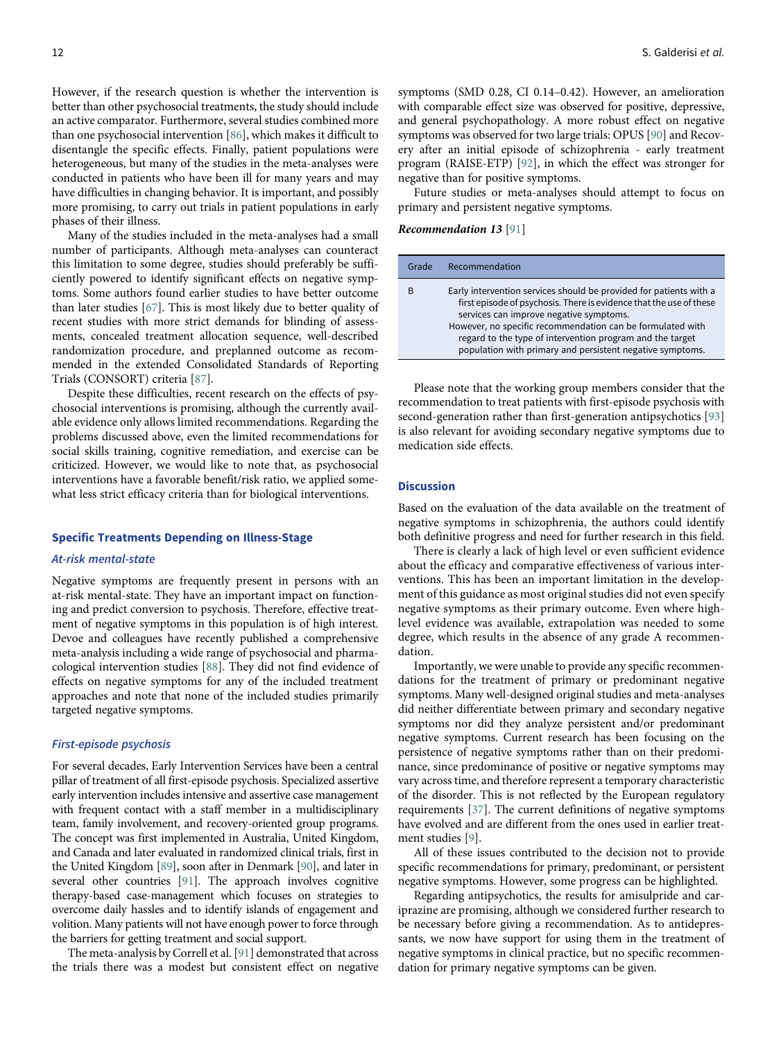However, if the research question is whether the intervention is better than other psychosocial treatments, the study should include an active comparator. Furthermore, several studies combined more than one psychosocial intervention [[86\]](#page-14-5), which makes it difficult to disentangle the specific effects. Finally, patient populations were heterogeneous, but many of the studies in the meta-analyses were conducted in patients who have been ill for many years and may have difficulties in changing behavior. It is important, and possibly more promising, to carry out trials in patient populations in early phases of their illness.

Many of the studies included in the meta-analyses had a small number of participants. Although meta-analyses can counteract this limitation to some degree, studies should preferably be sufficiently powered to identify significant effects on negative symptoms. Some authors found earlier studies to have better outcome than later studies [\[67](#page-14-5)]. This is most likely due to better quality of recent studies with more strict demands for blinding of assessments, concealed treatment allocation sequence, well-described randomization procedure, and preplanned outcome as recommended in the extended Consolidated Standards of Reporting Trials (CONSORT) criteria [[87\]](#page-14-6).

Despite these difficulties, recent research on the effects of psychosocial interventions is promising, although the currently available evidence only allows limited recommendations. Regarding the problems discussed above, even the limited recommendations for social skills training, cognitive remediation, and exercise can be criticized. However, we would like to note that, as psychosocial interventions have a favorable benefit/risk ratio, we applied somewhat less strict efficacy criteria than for biological interventions.

## Specific Treatments Depending on Illness-Stage

## At-risk mental-state

Negative symptoms are frequently present in persons with an at-risk mental-state. They have an important impact on functioning and predict conversion to psychosis. Therefore, effective treatment of negative symptoms in this population is of high interest. Devoe and colleagues have recently published a comprehensive meta-analysis including a wide range of psychosocial and pharmacological intervention studies [\[88](#page-14-21)]. They did not find evidence of effects on negative symptoms for any of the included treatment approaches and note that none of the included studies primarily targeted negative symptoms.

#### First-episode psychosis

For several decades, Early Intervention Services have been a central pillar of treatment of all first-episode psychosis. Specialized assertive early intervention includes intensive and assertive case management with frequent contact with a staff member in a multidisciplinary team, family involvement, and recovery-oriented group programs. The concept was first implemented in Australia, United Kingdom, and Canada and later evaluated in randomized clinical trials, first in the United Kingdom [[89](#page-14-22)], soon after in Denmark [\[90](#page-14-23)], and later in several other countries [[91\]](#page-14-11). The approach involves cognitive therapy-based case-management which focuses on strategies to overcome daily hassles and to identify islands of engagement and volition. Many patients will not have enough power to force through the barriers for getting treatment and social support.

The meta-analysis by Correll et al. [[91\]](#page-14-11) demonstrated that across the trials there was a modest but consistent effect on negative symptoms (SMD 0.28, CI 0.14–0.42). However, an amelioration with comparable effect size was observed for positive, depressive, and general psychopathology. A more robust effect on negative symptoms was observed for two large trials: OPUS [\[90](#page-14-23)] and Recovery after an initial episode of schizophrenia - early treatment program (RAISE-ETP) [[92\]](#page-14-13), in which the effect was stronger for negative than for positive symptoms.

Future studies or meta-analyses should attempt to focus on primary and persistent negative symptoms.

# Recommendation 13 [[91\]](#page-14-11)

| Grade | Recommendation                                                                                                                                                                                                                                                                                                                                                               |
|-------|------------------------------------------------------------------------------------------------------------------------------------------------------------------------------------------------------------------------------------------------------------------------------------------------------------------------------------------------------------------------------|
| B     | Early intervention services should be provided for patients with a<br>first episode of psychosis. There is evidence that the use of these<br>services can improve negative symptoms.<br>However, no specific recommendation can be formulated with<br>regard to the type of intervention program and the target<br>population with primary and persistent negative symptoms. |

Please note that the working group members consider that the recommendation to treat patients with first-episode psychosis with second-generation rather than first-generation antipsychotics [\[93\]](#page-14-24) is also relevant for avoiding secondary negative symptoms due to medication side effects.

## **Discussion**

Based on the evaluation of the data available on the treatment of negative symptoms in schizophrenia, the authors could identify both definitive progress and need for further research in this field.

There is clearly a lack of high level or even sufficient evidence about the efficacy and comparative effectiveness of various interventions. This has been an important limitation in the development of this guidance as most original studies did not even specify negative symptoms as their primary outcome. Even where highlevel evidence was available, extrapolation was needed to some degree, which results in the absence of any grade A recommendation.

Importantly, we were unable to provide any specific recommendations for the treatment of primary or predominant negative symptoms. Many well-designed original studies and meta-analyses did neither differentiate between primary and secondary negative symptoms nor did they analyze persistent and/or predominant negative symptoms. Current research has been focusing on the persistence of negative symptoms rather than on their predominance, since predominance of positive or negative symptoms may vary across time, and therefore represent a temporary characteristic of the disorder. This is not reflected by the European regulatory requirements [[37](#page-13-13)]. The current definitions of negative symptoms have evolved and are different from the ones used in earlier treatment studies [[9](#page-12-0)].

All of these issues contributed to the decision not to provide specific recommendations for primary, predominant, or persistent negative symptoms. However, some progress can be highlighted.

Regarding antipsychotics, the results for amisulpride and cariprazine are promising, although we considered further research to be necessary before giving a recommendation. As to antidepressants, we now have support for using them in the treatment of negative symptoms in clinical practice, but no specific recommendation for primary negative symptoms can be given.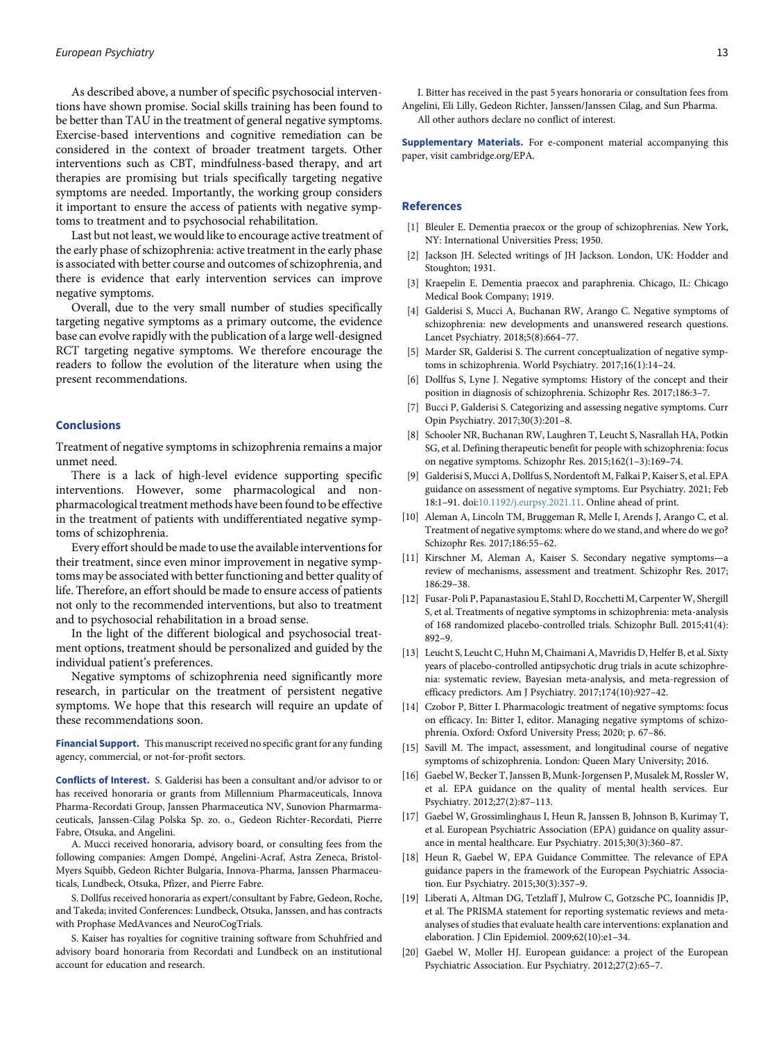As described above, a number of specific psychosocial interventions have shown promise. Social skills training has been found to be better than TAU in the treatment of general negative symptoms. Exercise-based interventions and cognitive remediation can be considered in the context of broader treatment targets. Other interventions such as CBT, mindfulness-based therapy, and art therapies are promising but trials specifically targeting negative symptoms are needed. Importantly, the working group considers it important to ensure the access of patients with negative symptoms to treatment and to psychosocial rehabilitation.

Last but not least, we would like to encourage active treatment of the early phase of schizophrenia: active treatment in the early phase is associated with better course and outcomes of schizophrenia, and there is evidence that early intervention services can improve negative symptoms.

<span id="page-12-1"></span>Overall, due to the very small number of studies specifically targeting negative symptoms as a primary outcome, the evidence base can evolve rapidly with the publication of a large well-designed RCT targeting negative symptoms. We therefore encourage the readers to follow the evolution of the literature when using the present recommendations.

## **Conclusions**

<span id="page-12-0"></span>Treatment of negative symptoms in schizophrenia remains a major unmet need.

<span id="page-12-2"></span>There is a lack of high-level evidence supporting specific interventions. However, some pharmacological and nonpharmacological treatment methods have been found to be effective in the treatment of patients with undifferentiated negative symptoms of schizophrenia.

<span id="page-12-4"></span><span id="page-12-3"></span>Every effort should be made to use the available interventions for their treatment, since even minor improvement in negative symptoms may be associated with better functioning and better quality of life. Therefore, an effort should be made to ensure access of patients not only to the recommended interventions, but also to treatment and to psychosocial rehabilitation in a broad sense.

<span id="page-12-5"></span>In the light of the different biological and psychosocial treatment options, treatment should be personalized and guided by the individual patient's preferences.

<span id="page-12-6"></span>Negative symptoms of schizophrenia need significantly more research, in particular on the treatment of persistent negative symptoms. We hope that this research will require an update of these recommendations soon.

<span id="page-12-7"></span>Financial Support. This manuscript received no specific grant for any funding agency, commercial, or not-for-profit sectors.

Conflicts of Interest. S. Galderisi has been a consultant and/or advisor to or has received honoraria or grants from Millennium Pharmaceuticals, Innova Pharma-Recordati Group, Janssen Pharmaceutica NV, Sunovion Pharmarmaceuticals, Janssen-Cilag Polska Sp. zo. o., Gedeon Richter-Recordati, Pierre Fabre, Otsuka, and Angelini.

A. Mucci received honoraria, advisory board, or consulting fees from the following companies: Amgen Dompé, Angelini-Acraf, Astra Zeneca, Bristol-Myers Squibb, Gedeon Richter Bulgaria, Innova-Pharma, Janssen Pharmaceuticals, Lundbeck, Otsuka, Pfizer, and Pierre Fabre.

S. Dollfus received honoraria as expert/consultant by Fabre, Gedeon, Roche, and Takeda; invited Conferences: Lundbeck, Otsuka, Janssen, and has contracts with Prophase MedAvances and NeuroCogTrials.

S. Kaiser has royalties for cognitive training software from Schuhfried and advisory board honoraria from Recordati and Lundbeck on an institutional account for education and research.

I. Bitter has received in the past 5 years honoraria or consultation fees from Angelini, Eli Lilly, Gedeon Richter, Janssen/Janssen Cilag, and Sun Pharma. All other authors declare no conflict of interest.

Supplementary Materials. For e-component material accompanying this paper, visit cambridge.org/EPA.

## References

- [1] Bleuler E. Dementia praecox or the group of schizophrenias. New York, NY: International Universities Press; 1950.
- [2] Jackson JH. Selected writings of JH Jackson. London, UK: Hodder and Stoughton; 1931.
- [3] Kraepelin E. Dementia praecox and paraphrenia. Chicago, IL: Chicago Medical Book Company; 1919.
- [4] Galderisi S, Mucci A, Buchanan RW, Arango C. Negative symptoms of schizophrenia: new developments and unanswered research questions. Lancet Psychiatry. 2018;5(8):664–77.
- [5] Marder SR, Galderisi S. The current conceptualization of negative symptoms in schizophrenia. World Psychiatry. 2017;16(1):14–24.
- [6] Dollfus S, Lyne J. Negative symptoms: History of the concept and their position in diagnosis of schizophrenia. Schizophr Res. 2017;186:3–7.
- [7] Bucci P, Galderisi S. Categorizing and assessing negative symptoms. Curr Opin Psychiatry. 2017;30(3):201–8.
- [8] Schooler NR, Buchanan RW, Laughren T, Leucht S, Nasrallah HA, Potkin SG, et al. Defining therapeutic benefit for people with schizophrenia: focus on negative symptoms. Schizophr Res. 2015;162(1–3):169–74.
- [9] Galderisi S, Mucci A, Dollfus S, Nordentoft M, Falkai P, Kaiser S, et al. EPA guidance on assessment of negative symptoms. Eur Psychiatry. 2021; Feb 18:1–91. doi:[10.1192/j.eurpsy.2021.11](https://doi.org/10.1192/j.eurpsy.2021.11). Online ahead of print.
- [10] Aleman A, Lincoln TM, Bruggeman R, Melle I, Arends J, Arango C, et al. Treatment of negative symptoms: where do we stand, and where do we go? Schizophr Res. 2017;186:55–62.
- [11] Kirschner M, Aleman A, Kaiser S. Secondary negative symptoms—a review of mechanisms, assessment and treatment. Schizophr Res. 2017; 186:29–38.
- [12] Fusar-Poli P, Papanastasiou E, Stahl D, Rocchetti M, Carpenter W, Shergill S, et al. Treatments of negative symptoms in schizophrenia: meta-analysis of 168 randomized placebo-controlled trials. Schizophr Bull. 2015;41(4): 892–9.
- [13] Leucht S, Leucht C, Huhn M, Chaimani A, Mavridis D, Helfer B, et al. Sixty years of placebo-controlled antipsychotic drug trials in acute schizophrenia: systematic review, Bayesian meta-analysis, and meta-regression of efficacy predictors. Am J Psychiatry. 2017;174(10):927–42.
- [14] Czobor P, Bitter I. Pharmacologic treatment of negative symptoms: focus on efficacy. In: Bitter I, editor. Managing negative symptoms of schizophrenia. Oxford: Oxford University Press; 2020; p. 67–86.
- [15] Savill M. The impact, assessment, and longitudinal course of negative symptoms of schizophrenia. London: Queen Mary University; 2016.
- [16] Gaebel W, Becker T, Janssen B, Munk-Jorgensen P, Musalek M, Rossler W, et al. EPA guidance on the quality of mental health services. Eur Psychiatry. 2012;27(2):87–113.
- [17] Gaebel W, Grossimlinghaus I, Heun R, Janssen B, Johnson B, Kurimay T, et al. European Psychiatric Association (EPA) guidance on quality assurance in mental healthcare. Eur Psychiatry. 2015;30(3):360–87.
- [18] Heun R, Gaebel W, EPA Guidance Committee. The relevance of EPA guidance papers in the framework of the European Psychiatric Association. Eur Psychiatry. 2015;30(3):357–9.
- [19] Liberati A, Altman DG, Tetzlaff J, Mulrow C, Gotzsche PC, Ioannidis JP, et al. The PRISMA statement for reporting systematic reviews and metaanalyses of studies that evaluate health care interventions: explanation and elaboration. J Clin Epidemiol. 2009;62(10):e1–34.
- [20] Gaebel W, Moller HJ. European guidance: a project of the European Psychiatric Association. Eur Psychiatry. 2012;27(2):65–7.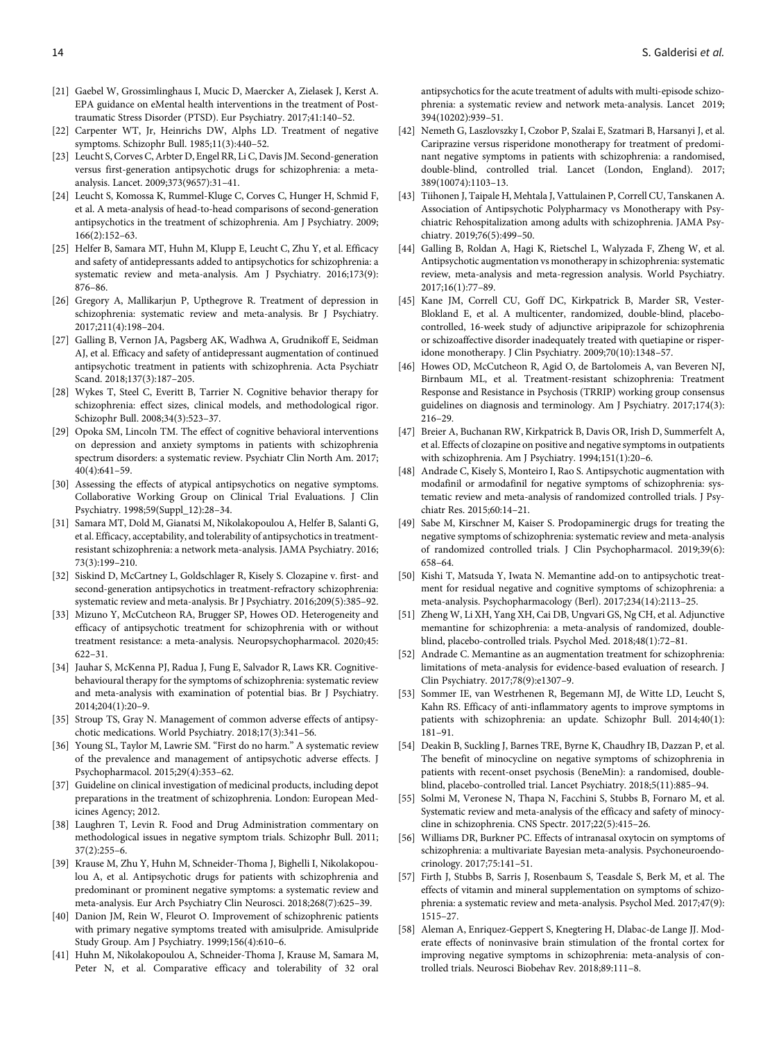- <span id="page-13-0"></span>[21] Gaebel W, Grossimlinghaus I, Mucic D, Maercker A, Zielasek J, Kerst A. EPA guidance on eMental health interventions in the treatment of Posttraumatic Stress Disorder (PTSD). Eur Psychiatry. 2017;41:140–52.
- <span id="page-13-1"></span>[22] Carpenter WT, Jr, Heinrichs DW, Alphs LD. Treatment of negative symptoms. Schizophr Bull. 1985;11(3):440–52.
- <span id="page-13-2"></span>[23] Leucht S, Corves C, Arbter D, Engel RR, Li C, Davis JM. Second-generation versus first-generation antipsychotic drugs for schizophrenia: a metaanalysis. Lancet. 2009;373(9657):31–41.
- <span id="page-13-3"></span>[24] Leucht S, Komossa K, Rummel-Kluge C, Corves C, Hunger H, Schmid F, et al. A meta-analysis of head-to-head comparisons of second-generation antipsychotics in the treatment of schizophrenia. Am J Psychiatry. 2009; 166(2):152–63.
- <span id="page-13-4"></span>[25] Helfer B, Samara MT, Huhn M, Klupp E, Leucht C, Zhu Y, et al. Efficacy and safety of antidepressants added to antipsychotics for schizophrenia: a systematic review and meta-analysis. Am J Psychiatry. 2016;173(9): 876–86.
- <span id="page-13-5"></span>[26] Gregory A, Mallikarjun P, Upthegrove R. Treatment of depression in schizophrenia: systematic review and meta-analysis. Br J Psychiatry. 2017;211(4):198–204.
- <span id="page-13-18"></span><span id="page-13-6"></span>[27] Galling B, Vernon JA, Pagsberg AK, Wadhwa A, Grudnikoff E, Seidman AJ, et al. Efficacy and safety of antidepressant augmentation of continued antipsychotic treatment in patients with schizophrenia. Acta Psychiatr Scand. 2018;137(3):187–205.
- <span id="page-13-7"></span>[28] Wykes T, Steel C, Everitt B, Tarrier N. Cognitive behavior therapy for schizophrenia: effect sizes, clinical models, and methodological rigor. Schizophr Bull. 2008;34(3):523–37.
- <span id="page-13-8"></span>[29] Opoka SM, Lincoln TM. The effect of cognitive behavioral interventions on depression and anxiety symptoms in patients with schizophrenia spectrum disorders: a systematic review. Psychiatr Clin North Am. 2017; 40(4):641–59.
- <span id="page-13-21"></span><span id="page-13-9"></span>[30] Assessing the effects of atypical antipsychotics on negative symptoms. Collaborative Working Group on Clinical Trial Evaluations. J Clin Psychiatry. 1998;59(Suppl\_12):28–34.
- <span id="page-13-19"></span>[31] Samara MT, Dold M, Gianatsi M, Nikolakopoulou A, Helfer B, Salanti G, et al. Efficacy, acceptability, and tolerability of antipsychotics in treatmentresistant schizophrenia: a network meta-analysis. JAMA Psychiatry. 2016; 73(3):199–210.
- <span id="page-13-20"></span>[32] Siskind D, McCartney L, Goldschlager R, Kisely S. Clozapine v. first- and second-generation antipsychotics in treatment-refractory schizophrenia: systematic review and meta-analysis. Br J Psychiatry. 2016;209(5):385–92.
- <span id="page-13-22"></span>[33] Mizuno Y, McCutcheon RA, Brugger SP, Howes OD. Heterogeneity and efficacy of antipsychotic treatment for schizophrenia with or without treatment resistance: a meta-analysis. Neuropsychopharmacol. 2020;45: 622–31.
- <span id="page-13-24"></span><span id="page-13-23"></span><span id="page-13-10"></span>[34] Jauhar S, McKenna PJ, Radua J, Fung E, Salvador R, Laws KR. Cognitivebehavioural therapy for the symptoms of schizophrenia: systematic review and meta-analysis with examination of potential bias. Br J Psychiatry. 2014;204(1):20–9.
- <span id="page-13-11"></span>[35] Stroup TS, Gray N. Management of common adverse effects of antipsychotic medications. World Psychiatry. 2018;17(3):341–56.
- <span id="page-13-12"></span>[36] Young SL, Taylor M, Lawrie SM. "First do no harm." A systematic review of the prevalence and management of antipsychotic adverse effects. J Psychopharmacol. 2015;29(4):353–62.
- <span id="page-13-25"></span><span id="page-13-13"></span>[37] Guideline on clinical investigation of medicinal products, including depot preparations in the treatment of schizophrenia. London: European Medicines Agency; 2012.
- <span id="page-13-26"></span><span id="page-13-14"></span>[38] Laughren T, Levin R. Food and Drug Administration commentary on methodological issues in negative symptom trials. Schizophr Bull. 2011; 37(2):255–6.
- <span id="page-13-27"></span><span id="page-13-15"></span>[39] Krause M, Zhu Y, Huhn M, Schneider-Thoma J, Bighelli I, Nikolakopoulou A, et al. Antipsychotic drugs for patients with schizophrenia and predominant or prominent negative symptoms: a systematic review and meta-analysis. Eur Arch Psychiatry Clin Neurosci. 2018;268(7):625–39.
- <span id="page-13-28"></span><span id="page-13-16"></span>[40] Danion JM, Rein W, Fleurot O. Improvement of schizophrenic patients with primary negative symptoms treated with amisulpride. Amisulpride Study Group. Am J Psychiatry. 1999;156(4):610–6.
- <span id="page-13-17"></span>[41] Huhn M, Nikolakopoulou A, Schneider-Thoma J, Krause M, Samara M, Peter N, et al. Comparative efficacy and tolerability of 32 oral

antipsychotics for the acute treatment of adults with multi-episode schizophrenia: a systematic review and network meta-analysis. Lancet 2019; 394(10202):939–51.

- [42] Nemeth G, Laszlovszky I, Czobor P, Szalai E, Szatmari B, Harsanyi J, et al. Cariprazine versus risperidone monotherapy for treatment of predominant negative symptoms in patients with schizophrenia: a randomised, double-blind, controlled trial. Lancet (London, England). 2017; 389(10074):1103–13.
- [43] Tiihonen J, Taipale H, Mehtala J, Vattulainen P, Correll CU, Tanskanen A. Association of Antipsychotic Polypharmacy vs Monotherapy with Psychiatric Rehospitalization among adults with schizophrenia. JAMA Psychiatry. 2019;76(5):499–50.
- [44] Galling B, Roldan A, Hagi K, Rietschel L, Walyzada F, Zheng W, et al. Antipsychotic augmentation vs monotherapy in schizophrenia: systematic review, meta-analysis and meta-regression analysis. World Psychiatry. 2017;16(1):77–89.
- [45] Kane JM, Correll CU, Goff DC, Kirkpatrick B, Marder SR, Vester-Blokland E, et al. A multicenter, randomized, double-blind, placebocontrolled, 16-week study of adjunctive aripiprazole for schizophrenia or schizoaffective disorder inadequately treated with quetiapine or risperidone monotherapy. J Clin Psychiatry. 2009;70(10):1348–57.
- [46] Howes OD, McCutcheon R, Agid O, de Bartolomeis A, van Beveren NJ, Birnbaum ML, et al. Treatment-resistant schizophrenia: Treatment Response and Resistance in Psychosis (TRRIP) working group consensus guidelines on diagnosis and terminology. Am J Psychiatry. 2017;174(3): 216–29.
- [47] Breier A, Buchanan RW, Kirkpatrick B, Davis OR, Irish D, Summerfelt A, et al. Effects of clozapine on positive and negative symptoms in outpatients with schizophrenia. Am J Psychiatry. 1994;151(1):20–6.
- [48] Andrade C, Kisely S, Monteiro I, Rao S. Antipsychotic augmentation with modafinil or armodafinil for negative symptoms of schizophrenia: systematic review and meta-analysis of randomized controlled trials. J Psychiatr Res. 2015;60:14–21.
- [49] Sabe M, Kirschner M, Kaiser S. Prodopaminergic drugs for treating the negative symptoms of schizophrenia: systematic review and meta-analysis of randomized controlled trials. J Clin Psychopharmacol. 2019;39(6): 658–64.
- [50] Kishi T, Matsuda Y, Iwata N. Memantine add-on to antipsychotic treatment for residual negative and cognitive symptoms of schizophrenia: a meta-analysis. Psychopharmacology (Berl). 2017;234(14):2113–25.
- [51] Zheng W, Li XH, Yang XH, Cai DB, Ungvari GS, Ng CH, et al. Adjunctive memantine for schizophrenia: a meta-analysis of randomized, doubleblind, placebo-controlled trials. Psychol Med. 2018;48(1):72–81.
- [52] Andrade C. Memantine as an augmentation treatment for schizophrenia: limitations of meta-analysis for evidence-based evaluation of research. J Clin Psychiatry. 2017;78(9):e1307–9.
- [53] Sommer IE, van Westrhenen R, Begemann MJ, de Witte LD, Leucht S, Kahn RS. Efficacy of anti-inflammatory agents to improve symptoms in patients with schizophrenia: an update. Schizophr Bull. 2014;40(1): 181–91.
- [54] Deakin B, Suckling J, Barnes TRE, Byrne K, Chaudhry IB, Dazzan P, et al. The benefit of minocycline on negative symptoms of schizophrenia in patients with recent-onset psychosis (BeneMin): a randomised, doubleblind, placebo-controlled trial. Lancet Psychiatry. 2018;5(11):885–94.
- [55] Solmi M, Veronese N, Thapa N, Facchini S, Stubbs B, Fornaro M, et al. Systematic review and meta-analysis of the efficacy and safety of minocycline in schizophrenia. CNS Spectr. 2017;22(5):415–26.
- [56] Williams DR, Burkner PC. Effects of intranasal oxytocin on symptoms of schizophrenia: a multivariate Bayesian meta-analysis. Psychoneuroendocrinology. 2017;75:141–51.
- [57] Firth J, Stubbs B, Sarris J, Rosenbaum S, Teasdale S, Berk M, et al. The effects of vitamin and mineral supplementation on symptoms of schizophrenia: a systematic review and meta-analysis. Psychol Med. 2017;47(9): 1515–27.
- [58] Aleman A, Enriquez-Geppert S, Knegtering H, Dlabac-de Lange JJ. Moderate effects of noninvasive brain stimulation of the frontal cortex for improving negative symptoms in schizophrenia: meta-analysis of controlled trials. Neurosci Biobehav Rev. 2018;89:111–8.